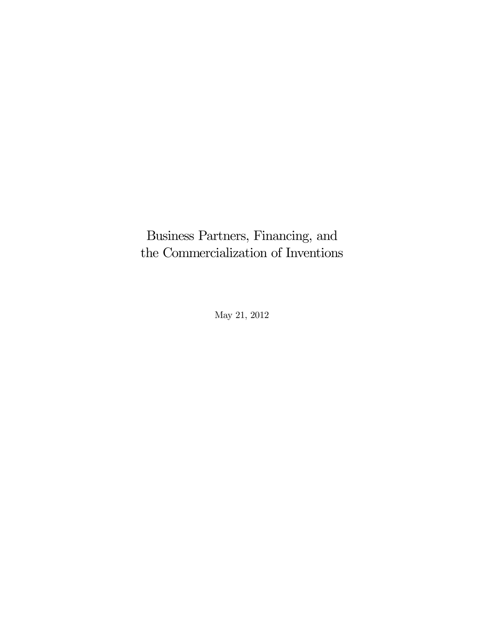Business Partners, Financing, and the Commercialization of Inventions

May 21, 2012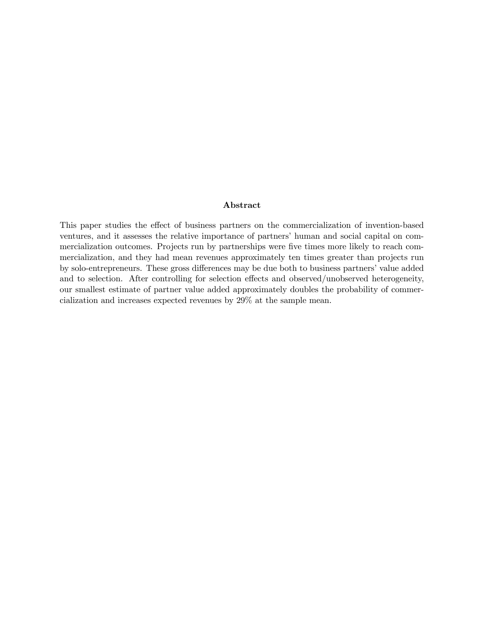### Abstract

This paper studies the effect of business partners on the commercialization of invention-based ventures, and it assesses the relative importance of partners' human and social capital on commercialization outcomes. Projects run by partnerships were five times more likely to reach commercialization, and they had mean revenues approximately ten times greater than projects run by solo-entrepreneurs. These gross differences may be due both to business partners' value added and to selection. After controlling for selection effects and observed/unobserved heterogeneity, our smallest estimate of partner value added approximately doubles the probability of commercialization and increases expected revenues by 29% at the sample mean.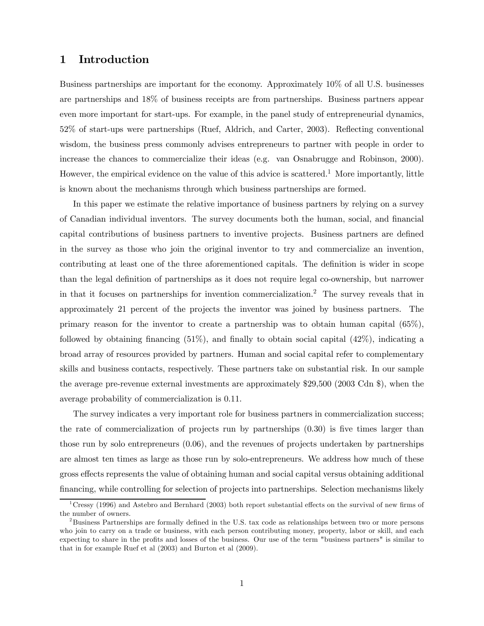### 1 Introduction

Business partnerships are important for the economy. Approximately 10% of all U.S. businesses are partnerships and 18% of business receipts are from partnerships. Business partners appear even more important for start-ups. For example, in the panel study of entrepreneurial dynamics, 52% of start-ups were partnerships (Ruef, Aldrich, and Carter, 2003). Reflecting conventional wisdom, the business press commonly advises entrepreneurs to partner with people in order to increase the chances to commercialize their ideas (e.g. van Osnabrugge and Robinson, 2000). However, the empirical evidence on the value of this advice is scattered.<sup>1</sup> More importantly, little is known about the mechanisms through which business partnerships are formed.

In this paper we estimate the relative importance of business partners by relying on a survey of Canadian individual inventors. The survey documents both the human, social, and financial capital contributions of business partners to inventive projects. Business partners are defined in the survey as those who join the original inventor to try and commercialize an invention, contributing at least one of the three aforementioned capitals. The definition is wider in scope than the legal definition of partnerships as it does not require legal co-ownership, but narrower in that it focuses on partnerships for invention commercialization.<sup>2</sup> The survey reveals that in approximately 21 percent of the projects the inventor was joined by business partners. The primary reason for the inventor to create a partnership was to obtain human capital (65%), followed by obtaining financing (51%), and finally to obtain social capital (42%), indicating a broad array of resources provided by partners. Human and social capital refer to complementary skills and business contacts, respectively. These partners take on substantial risk. In our sample the average pre-revenue external investments are approximately \$29,500 (2003 Cdn \$), when the average probability of commercialization is 0.11.

The survey indicates a very important role for business partners in commercialization success; the rate of commercialization of projects run by partnerships (0.30) is five times larger than those run by solo entrepreneurs (0.06), and the revenues of projects undertaken by partnerships are almost ten times as large as those run by solo-entrepreneurs. We address how much of these gross effects represents the value of obtaining human and social capital versus obtaining additional financing, while controlling for selection of projects into partnerships. Selection mechanisms likely

 $1<sup>1</sup>$ Cressy (1996) and Astebro and Bernhard (2003) both report substantial effects on the survival of new firms of the number of owners.

<sup>&</sup>lt;sup>2</sup>Business Partnerships are formally defined in the U.S. tax code as relationships between two or more persons who join to carry on a trade or business, with each person contributing money, property, labor or skill, and each expecting to share in the profits and losses of the business. Our use of the term "business partners" is similar to that in for example Ruef et al (2003) and Burton et al (2009).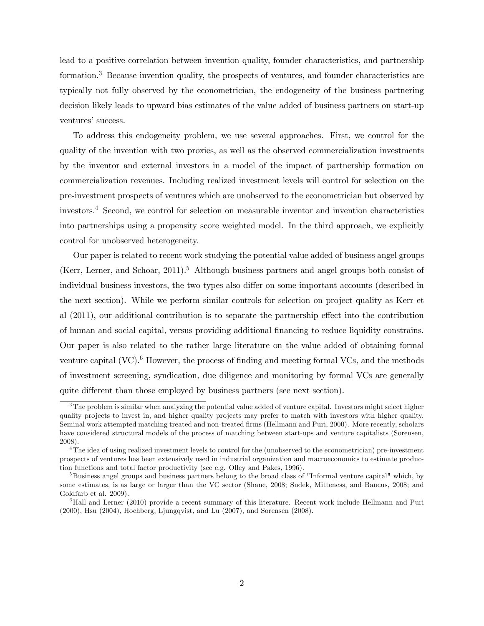lead to a positive correlation between invention quality, founder characteristics, and partnership formation.<sup>3</sup> Because invention quality, the prospects of ventures, and founder characteristics are typically not fully observed by the econometrician, the endogeneity of the business partnering decision likely leads to upward bias estimates of the value added of business partners on start-up ventures' success.

To address this endogeneity problem, we use several approaches. First, we control for the quality of the invention with two proxies, as well as the observed commercialization investments by the inventor and external investors in a model of the impact of partnership formation on commercialization revenues. Including realized investment levels will control for selection on the pre-investment prospects of ventures which are unobserved to the econometrician but observed by investors.<sup>4</sup> Second, we control for selection on measurable inventor and invention characteristics into partnerships using a propensity score weighted model. In the third approach, we explicitly control for unobserved heterogeneity.

Our paper is related to recent work studying the potential value added of business angel groups (Kerr, Lerner, and Schoar, 2011).<sup>5</sup> Although business partners and angel groups both consist of individual business investors, the two types also differ on some important accounts (described in the next section). While we perform similar controls for selection on project quality as Kerr et al (2011), our additional contribution is to separate the partnership effect into the contribution of human and social capital, versus providing additional financing to reduce liquidity constrains. Our paper is also related to the rather large literature on the value added of obtaining formal venture capital  $(VC)$ .<sup>6</sup> However, the process of finding and meeting formal VCs, and the methods of investment screening, syndication, due diligence and monitoring by formal VCs are generally quite different than those employed by business partners (see next section).

 $3$ The problem is similar when analyzing the potential value added of venture capital. Investors might select higher quality projects to invest in, and higher quality projects may prefer to match with investors with higher quality. Seminal work attempted matching treated and non-treated firms (Hellmann and Puri, 2000). More recently, scholars have considered structural models of the process of matching between start-ups and venture capitalists (Sorensen, 2008).

<sup>&</sup>lt;sup>4</sup>The idea of using realized investment levels to control for the (unobserved to the econometrician) pre-investment prospects of ventures has been extensively used in industrial organization and macroeconomics to estimate production functions and total factor productivity (see e.g. Olley and Pakes, 1996).

<sup>&</sup>lt;sup>5</sup>Business angel groups and business partners belong to the broad class of "Informal venture capital" which, by some estimates, is as large or larger than the VC sector (Shane, 2008; Sudek, Mitteness, and Baucus, 2008; and Goldfarb et al. 2009).

<sup>&</sup>lt;sup>6</sup>Hall and Lerner (2010) provide a recent summary of this literature. Recent work include Hellmann and Puri (2000), Hsu (2004), Hochberg, Ljungqvist, and Lu (2007), and Sorensen (2008).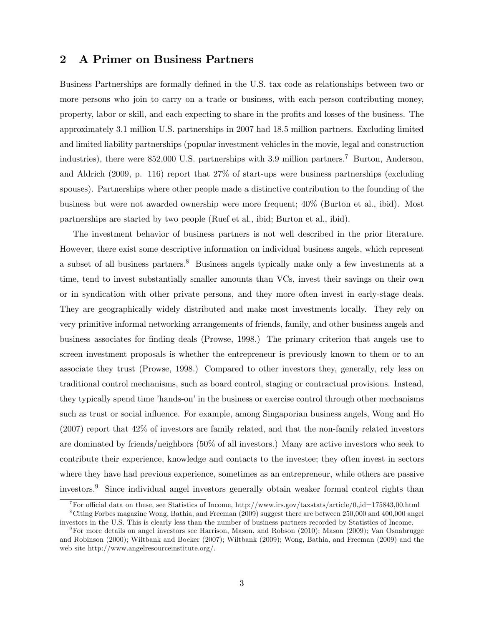## 2 A Primer on Business Partners

Business Partnerships are formally defined in the U.S. tax code as relationships between two or more persons who join to carry on a trade or business, with each person contributing money, property, labor or skill, and each expecting to share in the profits and losses of the business. The approximately 3.1 million U.S. partnerships in 2007 had 18.5 million partners. Excluding limited and limited liability partnerships (popular investment vehicles in the movie, legal and construction industries), there were 852,000 U.S. partnerships with 3.9 million partners.<sup>7</sup> Burton, Anderson, and Aldrich (2009, p. 116) report that 27% of start-ups were business partnerships (excluding spouses). Partnerships where other people made a distinctive contribution to the founding of the business but were not awarded ownership were more frequent; 40% (Burton et al., ibid). Most partnerships are started by two people (Ruef et al., ibid; Burton et al., ibid).

The investment behavior of business partners is not well described in the prior literature. However, there exist some descriptive information on individual business angels, which represent a subset of all business partners.<sup>8</sup> Business angels typically make only a few investments at a time, tend to invest substantially smaller amounts than VCs, invest their savings on their own or in syndication with other private persons, and they more often invest in early-stage deals. They are geographically widely distributed and make most investments locally. They rely on very primitive informal networking arrangements of friends, family, and other business angels and business associates for finding deals (Prowse, 1998.) The primary criterion that angels use to screen investment proposals is whether the entrepreneur is previously known to them or to an associate they trust (Prowse, 1998.) Compared to other investors they, generally, rely less on traditional control mechanisms, such as board control, staging or contractual provisions. Instead, they typically spend time 'hands-on' in the business or exercise control through other mechanisms such as trust or social influence. For example, among Singaporian business angels, Wong and Ho (2007) report that 42% of investors are family related, and that the non-family related investors are dominated by friends/neighbors (50% of all investors.) Many are active investors who seek to contribute their experience, knowledge and contacts to the investee; they often invest in sectors where they have had previous experience, sometimes as an entrepreneur, while others are passive investors.<sup>9</sup> Since individual angel investors generally obtain weaker formal control rights than

<sup>&</sup>lt;sup>7</sup>For official data on these, see Statistics of Income, http://www.irs.gov/taxstats/article/0,,id=175843,00.html 8Citing Forbes magazine Wong, Bathia, and Freeman (2009) suggest there are between 250,000 and 400,000 angel

investors in the U.S. This is clearly less than the number of business partners recorded by Statistics of Income. 9For more details on angel investors see Harrison, Mason, and Robson (2010); Mason (2009); Van Osnabrugge

and Robinson (2000); Wiltbank and Boeker (2007); Wiltbank (2009); Wong, Bathia, and Freeman (2009) and the web site http://www.angelresourceinstitute.org/.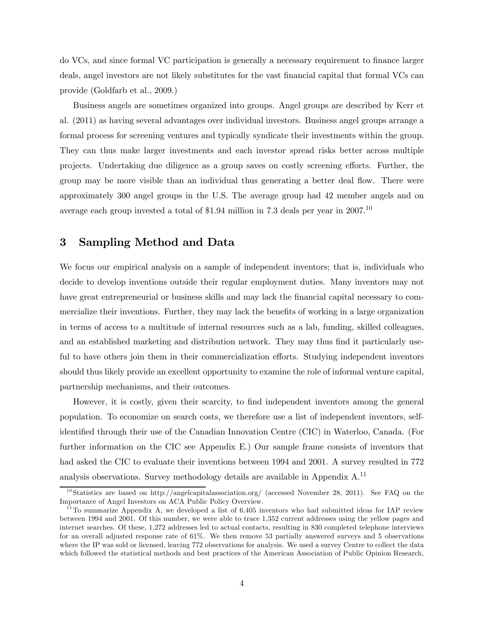do VCs, and since formal VC participation is generally a necessary requirement to finance larger deals, angel investors are not likely substitutes for the vast financial capital that formal VCs can provide (Goldfarb et al., 2009.)

Business angels are sometimes organized into groups. Angel groups are described by Kerr et al. (2011) as having several advantages over individual investors. Business angel groups arrange a formal process for screening ventures and typically syndicate their investments within the group. They can thus make larger investments and each investor spread risks better across multiple projects. Undertaking due diligence as a group saves on costly screening efforts. Further, the group may be more visible than an individual thus generating a better deal flow. There were approximately 300 angel groups in the U.S. The average group had 42 member angels and on average each group invested a total of \$1.94 million in 7.3 deals per year in  $2007$ .<sup>10</sup>

# 3 Sampling Method and Data

We focus our empirical analysis on a sample of independent inventors; that is, individuals who decide to develop inventions outside their regular employment duties. Many inventors may not have great entrepreneurial or business skills and may lack the financial capital necessary to commercialize their inventions. Further, they may lack the benefits of working in a large organization in terms of access to a multitude of internal resources such as a lab, funding, skilled colleagues, and an established marketing and distribution network. They may thus find it particularly useful to have others join them in their commercialization efforts. Studying independent inventors should thus likely provide an excellent opportunity to examine the role of informal venture capital, partnership mechanisms, and their outcomes.

However, it is costly, given their scarcity, to find independent inventors among the general population. To economize on search costs, we therefore use a list of independent inventors, selfidentified through their use of the Canadian Innovation Centre (CIC) in Waterloo, Canada. (For further information on the CIC see Appendix E.) Our sample frame consists of inventors that had asked the CIC to evaluate their inventions between 1994 and 2001. A survey resulted in 772 analysis observations. Survey methodology details are available in Appendix  $A<sup>11</sup>$ 

<sup>&</sup>lt;sup>10</sup>Statistics are based on http://angelcapitalassociation.org/ (accessed November 28, 2011). See FAQ on the Importance of Angel Investors on ACA Public Policy Overview.

 $11$ To summarize Appendix A, we developed a list of 6,405 inventors who had submitted ideas for IAP review between 1994 and 2001. Of this number, we were able to trace 1,352 current addresses using the yellow pages and internet searches. Of these, 1,272 addresses led to actual contacts, resulting in 830 completed telephone interviews for an overall adjusted response rate of 61%. We then remove 53 partially answered surveys and 5 observations where the IP was sold or licensed, leaving 772 observations for analysis. We used a survey Centre to collect the data which followed the statistical methods and best practices of the American Association of Public Opinion Research,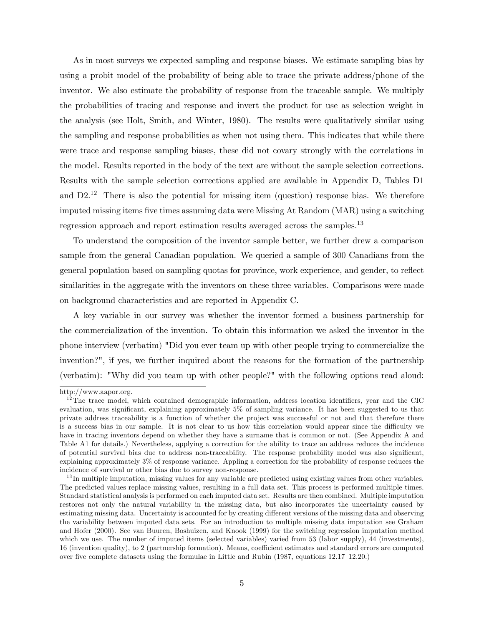As in most surveys we expected sampling and response biases. We estimate sampling bias by using a probit model of the probability of being able to trace the private address/phone of the inventor. We also estimate the probability of response from the traceable sample. We multiply the probabilities of tracing and response and invert the product for use as selection weight in the analysis (see Holt, Smith, and Winter, 1980). The results were qualitatively similar using the sampling and response probabilities as when not using them. This indicates that while there were trace and response sampling biases, these did not covary strongly with the correlations in the model. Results reported in the body of the text are without the sample selection corrections. Results with the sample selection corrections applied are available in Appendix D, Tables D1 and  $D2<sup>12</sup>$  There is also the potential for missing item (question) response bias. We therefore imputed missing items five times assuming data were Missing At Random (MAR) using a switching regression approach and report estimation results averaged across the samples.13

To understand the composition of the inventor sample better, we further drew a comparison sample from the general Canadian population. We queried a sample of 300 Canadians from the general population based on sampling quotas for province, work experience, and gender, to reflect similarities in the aggregate with the inventors on these three variables. Comparisons were made on background characteristics and are reported in Appendix C.

A key variable in our survey was whether the inventor formed a business partnership for the commercialization of the invention. To obtain this information we asked the inventor in the phone interview (verbatim) "Did you ever team up with other people trying to commercialize the invention?", if yes, we further inquired about the reasons for the formation of the partnership (verbatim): "Why did you team up with other people?" with the following options read aloud:

http://www.aapor.org.

 $12$ The trace model, which contained demographic information, address location identifiers, year and the CIC evaluation, was significant, explaining approximately 5% of sampling variance. It has been suggested to us that private address traceability is a function of whether the project was successful or not and that therefore there is a success bias in our sample. It is not clear to us how this correlation would appear since the difficulty we have in tracing inventors depend on whether they have a surname that is common or not. (See Appendix A and Table A1 for details.) Nevertheless, applying a correction for the ability to trace an address reduces the incidence of potential survival bias due to address non-traceability. The response probability model was also significant, explaining approximately 3% of response variance. Appling a correction for the probability of response reduces the incidence of survival or other bias due to survey non-response.

 $13$  In multiple imputation, missing values for any variable are predicted using existing values from other variables. The predicted values replace missing values, resulting in a full data set. This process is performed multiple times. Standard statistical analysis is performed on each imputed data set. Results are then combined. Multiple imputation restores not only the natural variability in the missing data, but also incorporates the uncertainty caused by estimating missing data. Uncertainty is accounted for by creating different versions of the missing data and observing the variability between imputed data sets. For an introduction to multiple missing data imputation see Graham and Hofer (2000). See van Buuren, Boshuizen, and Knook (1999) for the switching regression imputation method which we use. The number of imputed items (selected variables) varied from 53 (labor supply), 44 (investments), 16 (invention quality), to 2 (partnership formation). Means, coefficient estimates and standard errors are computed over five complete datasets using the formulae in Little and Rubin (1987, equations 12.17—12.20.)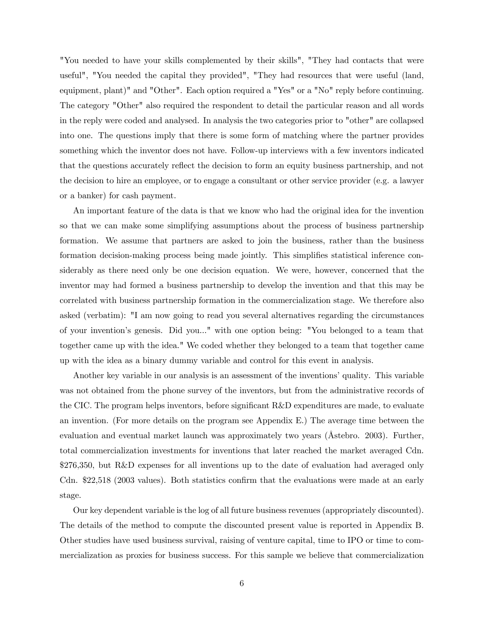"You needed to have your skills complemented by their skills", "They had contacts that were useful", "You needed the capital they provided", "They had resources that were useful (land, equipment, plant)" and "Other". Each option required a "Yes" or a "No" reply before continuing. The category "Other" also required the respondent to detail the particular reason and all words in the reply were coded and analysed. In analysis the two categories prior to "other" are collapsed into one. The questions imply that there is some form of matching where the partner provides something which the inventor does not have. Follow-up interviews with a few inventors indicated that the questions accurately reflect the decision to form an equity business partnership, and not the decision to hire an employee, or to engage a consultant or other service provider (e.g. a lawyer or a banker) for cash payment.

An important feature of the data is that we know who had the original idea for the invention so that we can make some simplifying assumptions about the process of business partnership formation. We assume that partners are asked to join the business, rather than the business formation decision-making process being made jointly. This simplifies statistical inference considerably as there need only be one decision equation. We were, however, concerned that the inventor may had formed a business partnership to develop the invention and that this may be correlated with business partnership formation in the commercialization stage. We therefore also asked (verbatim): "I am now going to read you several alternatives regarding the circumstances of your invention's genesis. Did you..." with one option being: "You belonged to a team that together came up with the idea." We coded whether they belonged to a team that together came up with the idea as a binary dummy variable and control for this event in analysis.

Another key variable in our analysis is an assessment of the inventions' quality. This variable was not obtained from the phone survey of the inventors, but from the administrative records of the CIC. The program helps inventors, before significant R&D expenditures are made, to evaluate an invention. (For more details on the program see Appendix E.) The average time between the evaluation and eventual market launch was approximately two years (Åstebro. 2003). Further, total commercialization investments for inventions that later reached the market averaged Cdn. \$276,350, but R&D expenses for all inventions up to the date of evaluation had averaged only Cdn. \$22,518 (2003 values). Both statistics confirm that the evaluations were made at an early stage.

Our key dependent variable is the log of all future business revenues (appropriately discounted). The details of the method to compute the discounted present value is reported in Appendix B. Other studies have used business survival, raising of venture capital, time to IPO or time to commercialization as proxies for business success. For this sample we believe that commercialization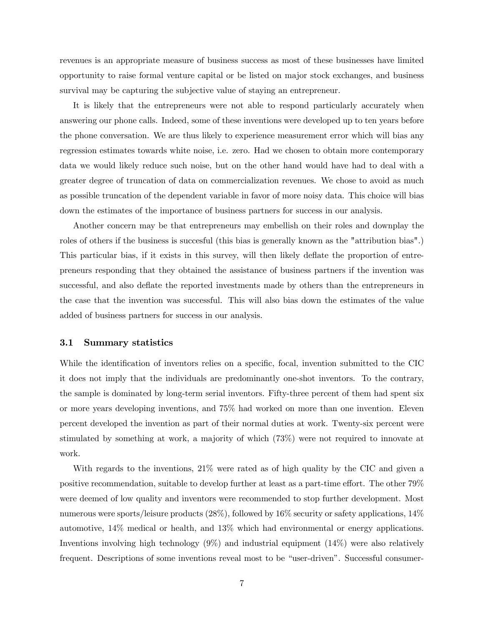revenues is an appropriate measure of business success as most of these businesses have limited opportunity to raise formal venture capital or be listed on major stock exchanges, and business survival may be capturing the subjective value of staying an entrepreneur.

It is likely that the entrepreneurs were not able to respond particularly accurately when answering our phone calls. Indeed, some of these inventions were developed up to ten years before the phone conversation. We are thus likely to experience measurement error which will bias any regression estimates towards white noise, i.e. zero. Had we chosen to obtain more contemporary data we would likely reduce such noise, but on the other hand would have had to deal with a greater degree of truncation of data on commercialization revenues. We chose to avoid as much as possible truncation of the dependent variable in favor of more noisy data. This choice will bias down the estimates of the importance of business partners for success in our analysis.

Another concern may be that entrepreneurs may embellish on their roles and downplay the roles of others if the business is succesful (this bias is generally known as the "attribution bias".) This particular bias, if it exists in this survey, will then likely deflate the proportion of entrepreneurs responding that they obtained the assistance of business partners if the invention was successful, and also deflate the reported investments made by others than the entrepreneurs in the case that the invention was successful. This will also bias down the estimates of the value added of business partners for success in our analysis.

### 3.1 Summary statistics

While the identification of inventors relies on a specific, focal, invention submitted to the CIC it does not imply that the individuals are predominantly one-shot inventors. To the contrary, the sample is dominated by long-term serial inventors. Fifty-three percent of them had spent six or more years developing inventions, and 75% had worked on more than one invention. Eleven percent developed the invention as part of their normal duties at work. Twenty-six percent were stimulated by something at work, a majority of which (73%) were not required to innovate at work.

With regards to the inventions, 21% were rated as of high quality by the CIC and given a positive recommendation, suitable to develop further at least as a part-time effort. The other 79% were deemed of low quality and inventors were recommended to stop further development. Most numerous were sports/leisure products (28%), followed by 16% security or safety applications, 14% automotive, 14% medical or health, and 13% which had environmental or energy applications. Inventions involving high technology (9%) and industrial equipment (14%) were also relatively frequent. Descriptions of some inventions reveal most to be "user-driven". Successful consumer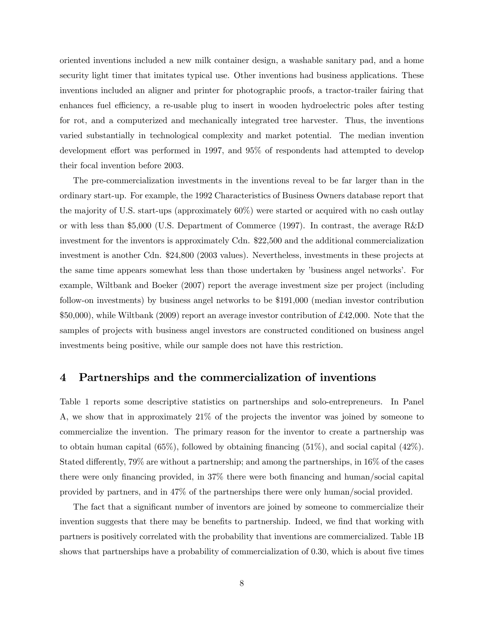oriented inventions included a new milk container design, a washable sanitary pad, and a home security light timer that imitates typical use. Other inventions had business applications. These inventions included an aligner and printer for photographic proofs, a tractor-trailer fairing that enhances fuel efficiency, a re-usable plug to insert in wooden hydroelectric poles after testing for rot, and a computerized and mechanically integrated tree harvester. Thus, the inventions varied substantially in technological complexity and market potential. The median invention development effort was performed in 1997, and 95% of respondents had attempted to develop their focal invention before 2003.

The pre-commercialization investments in the inventions reveal to be far larger than in the ordinary start-up. For example, the 1992 Characteristics of Business Owners database report that the majority of U.S. start-ups (approximately 60%) were started or acquired with no cash outlay or with less than \$5,000 (U.S. Department of Commerce (1997). In contrast, the average R&D investment for the inventors is approximately Cdn. \$22,500 and the additional commercialization investment is another Cdn. \$24,800 (2003 values). Nevertheless, investments in these projects at the same time appears somewhat less than those undertaken by 'business angel networks'. For example, Wiltbank and Boeker (2007) report the average investment size per project (including follow-on investments) by business angel networks to be \$191,000 (median investor contribution \$50,000), while Wiltbank (2009) report an average investor contribution of £42,000. Note that the samples of projects with business angel investors are constructed conditioned on business angel investments being positive, while our sample does not have this restriction.

## 4 Partnerships and the commercialization of inventions

Table 1 reports some descriptive statistics on partnerships and solo-entrepreneurs. In Panel A, we show that in approximately 21% of the projects the inventor was joined by someone to commercialize the invention. The primary reason for the inventor to create a partnership was to obtain human capital (65%), followed by obtaining financing (51%), and social capital (42%). Stated differently, 79% are without a partnership; and among the partnerships, in 16% of the cases there were only financing provided, in 37% there were both financing and human/social capital provided by partners, and in 47% of the partnerships there were only human/social provided.

The fact that a significant number of inventors are joined by someone to commercialize their invention suggests that there may be benefits to partnership. Indeed, we find that working with partners is positively correlated with the probability that inventions are commercialized. Table 1B shows that partnerships have a probability of commercialization of 0.30, which is about five times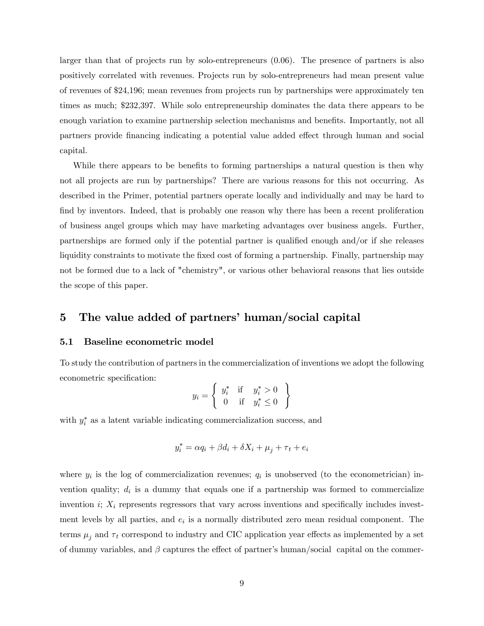larger than that of projects run by solo-entrepreneurs (0.06). The presence of partners is also positively correlated with revenues. Projects run by solo-entrepreneurs had mean present value of revenues of \$24,196; mean revenues from projects run by partnerships were approximately ten times as much; \$232,397. While solo entrepreneurship dominates the data there appears to be enough variation to examine partnership selection mechanisms and benefits. Importantly, not all partners provide financing indicating a potential value added effect through human and social capital.

While there appears to be benefits to forming partnerships a natural question is then why not all projects are run by partnerships? There are various reasons for this not occurring. As described in the Primer, potential partners operate locally and individually and may be hard to find by inventors. Indeed, that is probably one reason why there has been a recent proliferation of business angel groups which may have marketing advantages over business angels. Further, partnerships are formed only if the potential partner is qualified enough and/or if she releases liquidity constraints to motivate the fixed cost of forming a partnership. Finally, partnership may not be formed due to a lack of "chemistry", or various other behavioral reasons that lies outside the scope of this paper.

# 5 The value added of partners' human/social capital

### 5.1 Baseline econometric model

To study the contribution of partners in the commercialization of inventions we adopt the following econometric specification:

$$
y_i = \left\{ \begin{array}{ll} y_i^* & \text{if} & y_i^* > 0 \\ 0 & \text{if} & y_i^* \le 0 \end{array} \right\}
$$

with  $y_i^*$  as a latent variable indicating commercialization success, and

$$
y_i^* = \alpha q_i + \beta d_i + \delta X_i + \mu_j + \tau_t + e_i
$$

where  $y_i$  is the log of commercialization revenues;  $q_i$  is unobserved (to the econometrician) invention quality;  $d_i$  is a dummy that equals one if a partnership was formed to commercialize invention  $i; X_i$  represents regressors that vary across inventions and specifically includes investment levels by all parties, and  $e_i$  is a normally distributed zero mean residual component. The terms  $\mu_j$  and  $\tau_t$  correspond to industry and CIC application year effects as implemented by a set of dummy variables, and  $\beta$  captures the effect of partner's human/social capital on the commer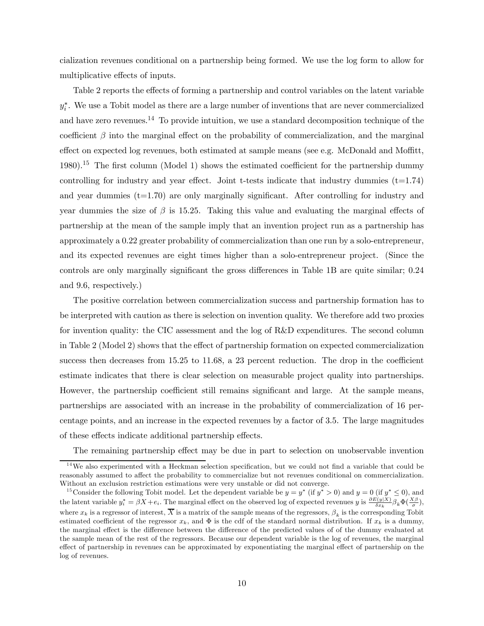cialization revenues conditional on a partnership being formed. We use the log form to allow for multiplicative effects of inputs.

Table 2 reports the effects of forming a partnership and control variables on the latent variable  $y_i^*$ . We use a Tobit model as there are a large number of inventions that are never commercialized and have zero revenues.<sup>14</sup> To provide intuition, we use a standard decomposition technique of the coefficient  $\beta$  into the marginal effect on the probability of commercialization, and the marginal effect on expected log revenues, both estimated at sample means (see e.g. McDonald and Moffitt, 1980).<sup>15</sup> The first column (Model 1) shows the estimated coefficient for the partnership dummy controlling for industry and year effect. Joint t-tests indicate that industry dummies  $(t=1.74)$ and year dummies (t=1.70) are only marginally significant. After controlling for industry and year dummies the size of  $\beta$  is 15.25. Taking this value and evaluating the marginal effects of partnership at the mean of the sample imply that an invention project run as a partnership has approximately a 0.22 greater probability of commercialization than one run by a solo-entrepreneur, and its expected revenues are eight times higher than a solo-entrepreneur project. (Since the controls are only marginally significant the gross differences in Table 1B are quite similar; 0.24 and 9.6, respectively.)

The positive correlation between commercialization success and partnership formation has to be interpreted with caution as there is selection on invention quality. We therefore add two proxies for invention quality: the CIC assessment and the log of R&D expenditures. The second column in Table 2 (Model 2) shows that the effect of partnership formation on expected commercialization success then decreases from 15.25 to 11.68, a 23 percent reduction. The drop in the coefficient estimate indicates that there is clear selection on measurable project quality into partnerships. However, the partnership coefficient still remains significant and large. At the sample means, partnerships are associated with an increase in the probability of commercialization of 16 percentage points, and an increase in the expected revenues by a factor of 3.5. The large magnitudes of these effects indicate additional partnership effects.

The remaining partnership effect may be due in part to selection on unobservable invention

<sup>&</sup>lt;sup>14</sup>We also experimented with a Heckman selection specification, but we could not find a variable that could be reasonably assumed to affect the probability to commercialize but not revenues conditional on commercialization. Without an exclusion restriction estimations were very unstable or did not converge.

<sup>&</sup>lt;sup>15</sup>Consider the following Tobit model. Let the dependent variable be  $y = y^*$  (if  $y^* > 0$ ) and  $y = 0$  (if  $y^* \le 0$ ), and the latent variable  $y_i^* = \beta X + e_i$ . The marginal effect on the observed log of expected revenues y is  $\frac{\partial E(y|X)}{\partial x_k} \beta_k \Phi(\frac{X\beta}{\sigma}),$ where  $x_k$  is a regressor of interest,  $\overline{X}$  is a matrix of the sample means of the regressors,  $\beta_k$  is the corresponding Tobit estimated coefficient of the regressor  $x_k$ , and  $\Phi$  is the cdf of the standard normal distribution. If  $x_k$  is a dummy, the marginal effect is the difference between the difference of the predicted values of of the dummy evaluated at the sample mean of the rest of the regressors. Because our dependent variable is the log of revenues, the marginal effect of partnership in revenues can be approximated by exponentiating the marginal effect of partnership on the log of revenues.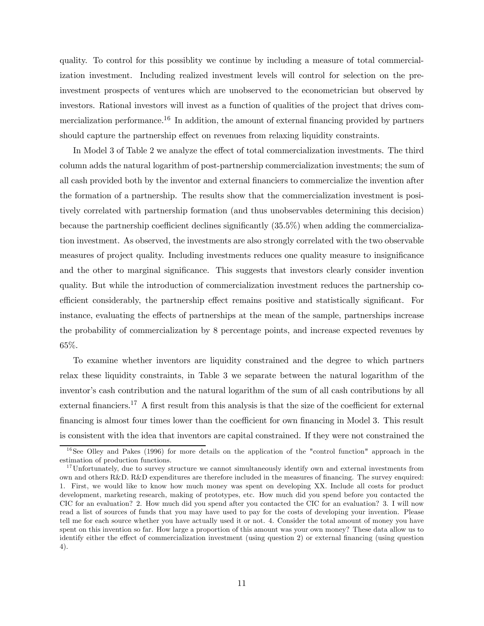quality. To control for this possiblity we continue by including a measure of total commercialization investment. Including realized investment levels will control for selection on the preinvestment prospects of ventures which are unobserved to the econometrician but observed by investors. Rational investors will invest as a function of qualities of the project that drives commercialization performance.<sup>16</sup> In addition, the amount of external financing provided by partners should capture the partnership effect on revenues from relaxing liquidity constraints.

In Model 3 of Table 2 we analyze the effect of total commercialization investments. The third column adds the natural logarithm of post-partnership commercialization investments; the sum of all cash provided both by the inventor and external financiers to commercialize the invention after the formation of a partnership. The results show that the commercialization investment is positively correlated with partnership formation (and thus unobservables determining this decision) because the partnership coefficient declines significantly (35.5%) when adding the commercialization investment. As observed, the investments are also strongly correlated with the two observable measures of project quality. Including investments reduces one quality measure to insignificance and the other to marginal significance. This suggests that investors clearly consider invention quality. But while the introduction of commercialization investment reduces the partnership coefficient considerably, the partnership effect remains positive and statistically significant. For instance, evaluating the effects of partnerships at the mean of the sample, partnerships increase the probability of commercialization by 8 percentage points, and increase expected revenues by 65%.

To examine whether inventors are liquidity constrained and the degree to which partners relax these liquidity constraints, in Table 3 we separate between the natural logarithm of the inventor's cash contribution and the natural logarithm of the sum of all cash contributions by all external financiers.<sup>17</sup> A first result from this analysis is that the size of the coefficient for external financing is almost four times lower than the coefficient for own financing in Model 3. This result is consistent with the idea that inventors are capital constrained. If they were not constrained the

 $16$ See Olley and Pakes (1996) for more details on the application of the "control function" approach in the estimation of production functions.

<sup>&</sup>lt;sup>17</sup>Unfortunately, due to survey structure we cannot simultaneously identify own and external investments from own and others R&D. R&D expenditures are therefore included in the measures of financing. The survey enquired: 1. First, we would like to know how much money was spent on developing XX. Include all costs for product development, marketing research, making of prototypes, etc. How much did you spend before you contacted the CIC for an evaluation? 2. How much did you spend after you contacted the CIC for an evaluation? 3. I will now read a list of sources of funds that you may have used to pay for the costs of developing your invention. Please tell me for each source whether you have actually used it or not. 4. Consider the total amount of money you have spent on this invention so far. How large a proportion of this amount was your own money? These data allow us to identify either the effect of commercialization investment (using question 2) or external financing (using question 4).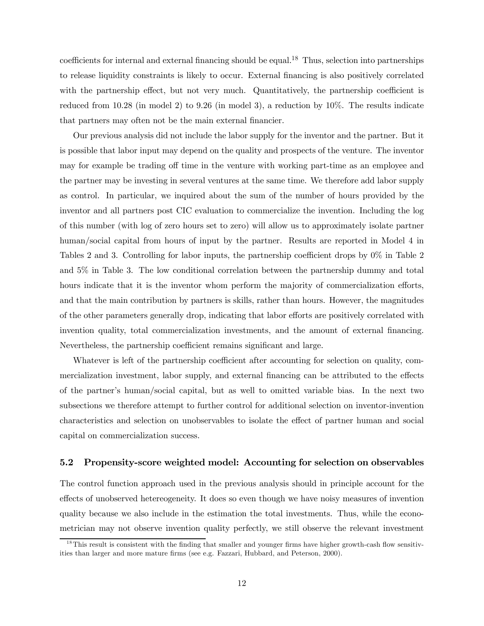coefficients for internal and external financing should be equal.<sup>18</sup> Thus, selection into partnerships to release liquidity constraints is likely to occur. External financing is also positively correlated with the partnership effect, but not very much. Quantitatively, the partnership coefficient is reduced from  $10.28$  (in model 2) to  $9.26$  (in model 3), a reduction by  $10\%$ . The results indicate that partners may often not be the main external financier.

Our previous analysis did not include the labor supply for the inventor and the partner. But it is possible that labor input may depend on the quality and prospects of the venture. The inventor may for example be trading off time in the venture with working part-time as an employee and the partner may be investing in several ventures at the same time. We therefore add labor supply as control. In particular, we inquired about the sum of the number of hours provided by the inventor and all partners post CIC evaluation to commercialize the invention. Including the log of this number (with log of zero hours set to zero) will allow us to approximately isolate partner human/social capital from hours of input by the partner. Results are reported in Model 4 in Tables 2 and 3. Controlling for labor inputs, the partnership coefficient drops by 0% in Table 2 and 5% in Table 3. The low conditional correlation between the partnership dummy and total hours indicate that it is the inventor whom perform the majority of commercialization efforts, and that the main contribution by partners is skills, rather than hours. However, the magnitudes of the other parameters generally drop, indicating that labor efforts are positively correlated with invention quality, total commercialization investments, and the amount of external financing. Nevertheless, the partnership coefficient remains significant and large.

Whatever is left of the partnership coefficient after accounting for selection on quality, commercialization investment, labor supply, and external financing can be attributed to the effects of the partner's human/social capital, but as well to omitted variable bias. In the next two subsections we therefore attempt to further control for additional selection on inventor-invention characteristics and selection on unobservables to isolate the effect of partner human and social capital on commercialization success.

#### 5.2 Propensity-score weighted model: Accounting for selection on observables

The control function approach used in the previous analysis should in principle account for the effects of unobserved hetereogeneity. It does so even though we have noisy measures of invention quality because we also include in the estimation the total investments. Thus, while the econometrician may not observe invention quality perfectly, we still observe the relevant investment

 $18$ This result is consistent with the finding that smaller and younger firms have higher growth-cash flow sensitivities than larger and more mature firms (see e.g. Fazzari, Hubbard, and Peterson, 2000).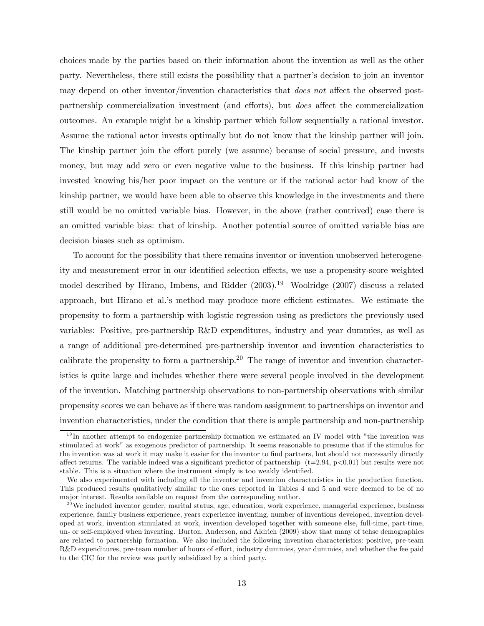choices made by the parties based on their information about the invention as well as the other party. Nevertheless, there still exists the possibility that a partner's decision to join an inventor may depend on other inventor/invention characteristics that *does not* affect the observed postpartnership commercialization investment (and efforts), but does affect the commercialization outcomes. An example might be a kinship partner which follow sequentially a rational investor. Assume the rational actor invests optimally but do not know that the kinship partner will join. The kinship partner join the effort purely (we assume) because of social pressure, and invests money, but may add zero or even negative value to the business. If this kinship partner had invested knowing his/her poor impact on the venture or if the rational actor had know of the kinship partner, we would have been able to observe this knowledge in the investments and there still would be no omitted variable bias. However, in the above (rather contrived) case there is an omitted variable bias: that of kinship. Another potential source of omitted variable bias are decision biases such as optimism.

To account for the possibility that there remains inventor or invention unobserved heterogeneity and measurement error in our identified selection effects, we use a propensity-score weighted model described by Hirano, Imbens, and Ridder  $(2003).^{19}$  Woolridge  $(2007)$  discuss a related approach, but Hirano et al.'s method may produce more efficient estimates. We estimate the propensity to form a partnership with logistic regression using as predictors the previously used variables: Positive, pre-partnership R&D expenditures, industry and year dummies, as well as a range of additional pre-determined pre-partnership inventor and invention characteristics to calibrate the propensity to form a partnership.<sup>20</sup> The range of inventor and invention characteristics is quite large and includes whether there were several people involved in the development of the invention. Matching partnership observations to non-partnership observations with similar propensity scores we can behave as if there was random assignment to partnerships on inventor and invention characteristics, under the condition that there is ample partnership and non-partnership

 $19$  In another attempt to endogenize partnership formation we estimated an IV model with "the invention was stimulated at work" as exogenous predictor of partnership. It seems reasonable to presume that if the stimulus for the invention was at work it may make it easier for the inventor to find partners, but should not necessarily directly affect returns. The variable indeed was a significant predictor of partnership  $(t=2.94, p<0.01)$  but results were not stable. This is a situation where the instrument simply is too weakly identified.

We also experimented with including all the inventor and invention characteristics in the production function. This produced results qualitatively similar to the ones reported in Tables 4 and 5 and were deemed to be of no major interest. Results available on request from the corresponding author.

 $20$ We included inventor gender, marital status, age, education, work experience, managerial experience, business experience, family business experience, years experience inventing, number of inventions developed, invention developed at work, invention stimulated at work, invention developed together with someone else, full-time, part-time, un- or self-employed when inventing. Burton, Anderson, and Aldrich (2009) show that many of tehse demographics are related to partnership formation. We also included the following invention characteristics: positive, pre-team R&D expenditures, pre-team number of hours of effort, industry dummies, year dummies, and whether the fee paid to the CIC for the review was partly subsidized by a third party.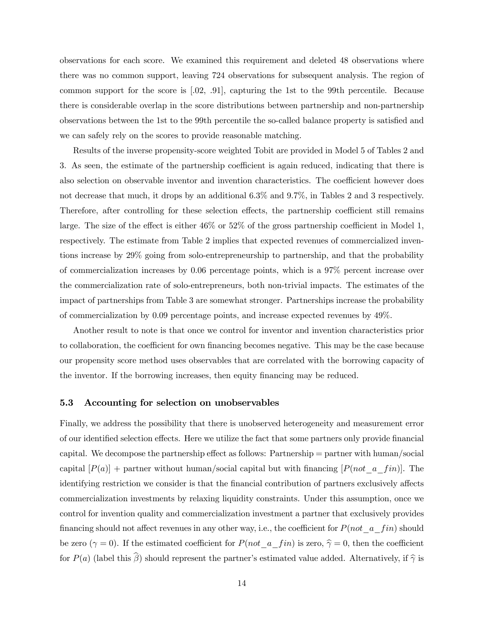observations for each score. We examined this requirement and deleted 48 observations where there was no common support, leaving 724 observations for subsequent analysis. The region of common support for the score is [.02, .91], capturing the 1st to the 99th percentile. Because there is considerable overlap in the score distributions between partnership and non-partnership observations between the 1st to the 99th percentile the so-called balance property is satisfied and we can safely rely on the scores to provide reasonable matching.

Results of the inverse propensity-score weighted Tobit are provided in Model 5 of Tables 2 and 3. As seen, the estimate of the partnership coefficient is again reduced, indicating that there is also selection on observable inventor and invention characteristics. The coefficient however does not decrease that much, it drops by an additional 6.3% and 9.7%, in Tables 2 and 3 respectively. Therefore, after controlling for these selection effects, the partnership coefficient still remains large. The size of the effect is either 46% or 52% of the gross partnership coefficient in Model 1, respectively. The estimate from Table 2 implies that expected revenues of commercialized inventions increase by 29% going from solo-entrepreneurship to partnership, and that the probability of commercialization increases by 0.06 percentage points, which is a 97% percent increase over the commercialization rate of solo-entrepreneurs, both non-trivial impacts. The estimates of the impact of partnerships from Table 3 are somewhat stronger. Partnerships increase the probability of commercialization by 0.09 percentage points, and increase expected revenues by 49%.

Another result to note is that once we control for inventor and invention characteristics prior to collaboration, the coefficient for own financing becomes negative. This may be the case because our propensity score method uses observables that are correlated with the borrowing capacity of the inventor. If the borrowing increases, then equity financing may be reduced.

#### 5.3 Accounting for selection on unobservables

Finally, we address the possibility that there is unobserved heterogeneity and measurement error of our identified selection effects. Here we utilize the fact that some partners only provide financial capital. We decompose the partnership effect as follows: Partnership = partner with human/social capital  $[P(a)]$  + partner without human/social capital but with financing  $[P(not_a\_fin)]$ . The identifying restriction we consider is that the financial contribution of partners exclusively affects commercialization investments by relaxing liquidity constraints. Under this assumption, once we control for invention quality and commercialization investment a partner that exclusively provides financing should not affect revenues in any other way, i.e., the coefficient for  $P(not \_ a\_ fin)$  should be zero  $(\gamma = 0)$ . If the estimated coefficient for  $P(not_a\_i$  is zero,  $\hat{\gamma} = 0$ , then the coefficient for  $P(a)$  (label this  $\widehat{\beta}$ ) should represent the partner's estimated value added. Alternatively, if  $\widehat{\gamma}$  is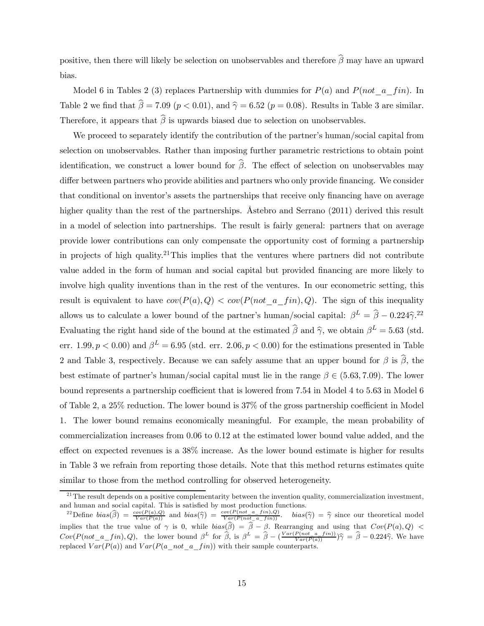positive, then there will likely be selection on unobservables and therefore  $\widehat{\beta}$  may have an upward bias.

Model 6 in Tables 2 (3) replaces Partnership with dummies for  $P(a)$  and  $P(not_a fin)$ . In Table 2 we find that  $\hat{\beta} = 7.09$  ( $p < 0.01$ ), and  $\hat{\gamma} = 6.52$  ( $p = 0.08$ ). Results in Table 3 are similar. Therefore, it appears that  $\widehat{\beta}$  is upwards biased due to selection on unobservables.

We proceed to separately identify the contribution of the partner's human/social capital from selection on unobservables. Rather than imposing further parametric restrictions to obtain point identification, we construct a lower bound for  $\widehat{\beta}$ . The effect of selection on unobservables may differ between partners who provide abilities and partners who only provide financing. We consider that conditional on inventor's assets the partnerships that receive only financing have on average higher quality than the rest of the partnerships. Astebro and Serrano (2011) derived this result in a model of selection into partnerships. The result is fairly general: partners that on average provide lower contributions can only compensate the opportunity cost of forming a partnership in projects of high quality.<sup>21</sup>This implies that the ventures where partners did not contribute value added in the form of human and social capital but provided financing are more likely to involve high quality inventions than in the rest of the ventures. In our econometric setting, this result is equivalent to have  $cov(P(a), Q) < cov(P(not \, a \, fin), Q)$ . The sign of this inequality allows us to calculate a lower bound of the partner's human/social capital:  $\beta^L = \hat{\beta} - 0.224 \hat{\gamma}^{22}$ Evaluating the right hand side of the bound at the estimated  $\hat{\beta}$  and  $\hat{\gamma}$ , we obtain  $\beta^L = 5.63$  (std. err. 1.99,  $p < 0.00$ ) and  $\beta^L = 6.95$  (std. err. 2.06,  $p < 0.00$ ) for the estimations presented in Table 2 and Table 3, respectively. Because we can safely assume that an upper bound for  $\beta$  is  $\widehat{\beta}$ , the best estimate of partner's human/social capital must lie in the range  $\beta \in (5.63, 7.09)$ . The lower bound represents a partnership coefficient that is lowered from 7.54 in Model 4 to 5.63 in Model 6 of Table 2, a 25% reduction. The lower bound is 37% of the gross partnership coefficient in Model 1. The lower bound remains economically meaningful. For example, the mean probability of commercialization increases from 0.06 to 0.12 at the estimated lower bound value added, and the effect on expected revenues is a 38% increase. As the lower bound estimate is higher for results in Table 3 we refrain from reporting those details. Note that this method returns estimates quite similar to those from the method controlling for observed heterogeneity.

 $^{21}$ The result depends on a positive complementarity between the invention quality, commercialization investment, and human and social capital. This is satisfied by most production functions.

<sup>&</sup>lt;sup>22</sup>Define  $bias(\hat{\beta}) = \frac{cov(P(a), Q)}{Var(P(a))}$  and  $bias(\hat{\gamma}) = \frac{cov(P(not_a\_a\_fin), Q)}{Var(P(not_a\_in))}$ .  $bias(\hat{\gamma}) = \hat{\gamma}$  since our theoretical model implies that the true value of  $\gamma$  is 0, while  $bias(\beta) = \beta - \beta$ . Rearranging and using that  $Cov(P(a), Q)$  $Cov(P(not_a\_fin), Q)$ , the lower bound  $\beta^L$  for  $\hat{\beta}$ , is  $\beta^L = \hat{\beta} - (\frac{Var(P(not_a\_a\_fin))}{Var(P(a))})\hat{\gamma} = \hat{\beta} - 0.224\hat{\gamma}$ . We have replaced  $Var(P(a))$  and  $Var(P(a \text{ not } a \text{ fin}))$  with their sample counterparts.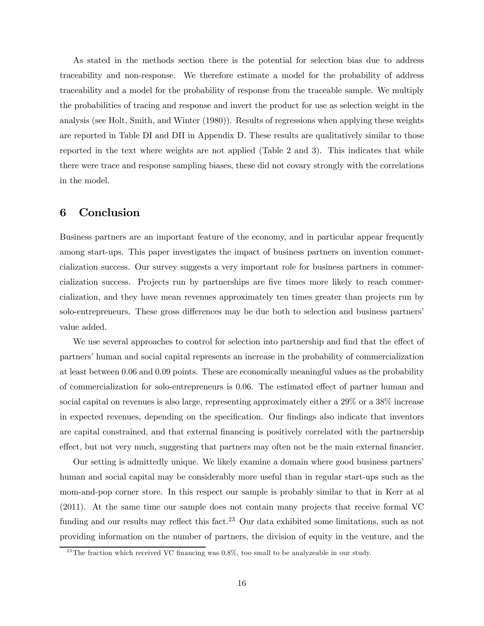As stated in the methods section there is the potential for selection bias due to address traceability and non-response. We therefore estimate a model for the probability of address traceability and a model for the probability of response from the traceable sample. We multiply the probabilities of tracing and response and invert the product for use as selection weight in the analysis (see Holt, Smith, and Winter (1980)). Results of regressions when applying these weights are reported in Table DI and DII in Appendix D. These results are qualitatively similar to those reported in the text where weights are not applied (Table 2 and 3). This indicates that while there were trace and response sampling biases, these did not covary strongly with the correlations in the model.

# 6 Conclusion

Business partners are an important feature of the economy, and in particular appear frequently among start-ups. This paper investigates the impact of business partners on invention commercialization success. Our survey suggests a very important role for business partners in commercialization success. Projects run by partnerships are five times more likely to reach commercialization, and they have mean revenues approximately ten times greater than projects run by solo-entrepreneurs. These gross differences may be due both to selection and business partners' value added.

We use several approaches to control for selection into partnership and find that the effect of partners' human and social capital represents an increase in the probability of commercialization at least between 0.06 and 0.09 points. These are economically meaningful values as the probability of commercialization for solo-entrepreneurs is 0.06. The estimated effect of partner human and social capital on revenues is also large, representing approximately either a 29% or a 38% increase in expected revenues, depending on the specification. Our findings also indicate that inventors are capital constrained, and that external financing is positively correlated with the partnership effect, but not very much, suggesting that partners may often not be the main external financier.

Our setting is admittedly unique. We likely examine a domain where good business partners' human and social capital may be considerably more useful than in regular start-ups such as the mom-and-pop corner store. In this respect our sample is probably similar to that in Kerr at al (2011). At the same time our sample does not contain many projects that receive formal VC funding and our results may reflect this fact.<sup>23</sup> Our data exhibited some limitations, such as not providing information on the number of partners, the division of equity in the venture, and the

 $23$ The fraction which received VC financing was 0.8%, too small to be analyzeable in our study.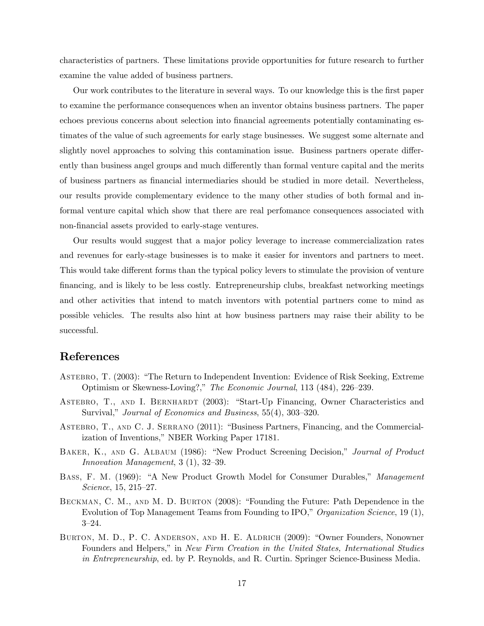characteristics of partners. These limitations provide opportunities for future research to further examine the value added of business partners.

Our work contributes to the literature in several ways. To our knowledge this is the first paper to examine the performance consequences when an inventor obtains business partners. The paper echoes previous concerns about selection into financial agreements potentially contaminating estimates of the value of such agreements for early stage businesses. We suggest some alternate and slightly novel approaches to solving this contamination issue. Business partners operate differently than business angel groups and much differently than formal venture capital and the merits of business partners as financial intermediaries should be studied in more detail. Nevertheless, our results provide complementary evidence to the many other studies of both formal and informal venture capital which show that there are real perfomance consequences associated with non-financial assets provided to early-stage ventures.

Our results would suggest that a major policy leverage to increase commercialization rates and revenues for early-stage businesses is to make it easier for inventors and partners to meet. This would take different forms than the typical policy levers to stimulate the provision of venture financing, and is likely to be less costly. Entrepreneurship clubs, breakfast networking meetings and other activities that intend to match inventors with potential partners come to mind as possible vehicles. The results also hint at how business partners may raise their ability to be successful.

# References

- Astebro, T. (2003): "The Return to Independent Invention: Evidence of Risk Seeking, Extreme Optimism or Skewness-Loving?," The Economic Journal, 113 (484), 226—239.
- ASTEBRO, T., AND I. BERNHARDT (2003): "Start-Up Financing, Owner Characteristics and Survival," Journal of Economics and Business, 55(4), 303—320.
- Astebro, T., and C. J. Serrano (2011): "Business Partners, Financing, and the Commercialization of Inventions," NBER Working Paper 17181.
- BAKER, K., AND G. ALBAUM (1986): "New Product Screening Decision," Journal of Product Innovation Management, 3 (1), 32—39.
- BASS, F. M. (1969): "A New Product Growth Model for Consumer Durables," Management Science, 15, 215—27.
- Beckman, C. M., and M. D. Burton (2008): "Founding the Future: Path Dependence in the Evolution of Top Management Teams from Founding to IPO," Organization Science, 19 (1), 3—24.
- Burton, M. D., P. C. Anderson, and H. E. Aldrich (2009): "Owner Founders, Nonowner Founders and Helpers," in New Firm Creation in the United States, International Studies in Entrepreneurship, ed. by P. Reynolds, and R. Curtin. Springer Science-Business Media.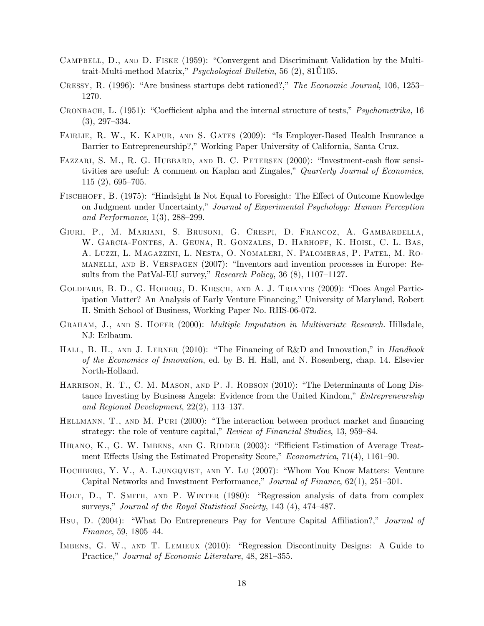- Campbell, D., and D. Fiske (1959): "Convergent and Discriminant Validation by the Multitrait-Multi-method Matrix," *Psychological Bulletin*, 56  $(2)$ , 81 $\dot{\text{U}}$ 105.
- Cressy, R. (1996): "Are business startups debt rationed?," The Economic Journal, 106, 1253— 1270.
- Cronbach, L. (1951): "Coefficient alpha and the internal structure of tests," Psychometrika, 16 (3), 297—334.
- FAIRLIE, R. W., K. KAPUR, AND S. GATES (2009): "Is Employer-Based Health Insurance a Barrier to Entrepreneurship?," Working Paper University of California, Santa Cruz.
- FAZZARI, S. M., R. G. HUBBARD, AND B. C. PETERSEN (2000): "Investment-cash flow sensitivities are useful: A comment on Kaplan and Zingales," Quarterly Journal of Economics, 115 (2), 695—705.
- Fischhoff, B. (1975): "Hindsight Is Not Equal to Foresight: The Effect of Outcome Knowledge on Judgment under Uncertainty," Journal of Experimental Psychology: Human Perception and Performance, 1(3), 288—299.
- Giuri, P., M. Mariani, S. Brusoni, G. Crespi, D. Francoz, A. Gambardella, W. Garcia-Fontes, A. Geuna, R. Gonzales, D. Harhoff, K. Hoisl, C. L. Bas, A. Luzzi, L. Magazzini, L. Nesta, O. Nomaleri, N. Palomeras, P. Patel, M. Romanelli, and B. Verspagen (2007): "Inventors and invention processes in Europe: Results from the PatVal-EU survey," Research Policy, 36 (8), 1107-1127.
- Goldfarb, B. D., G. Hoberg, D. Kirsch, and A. J. Triantis (2009): "Does Angel Participation Matter? An Analysis of Early Venture Financing," University of Maryland, Robert H. Smith School of Business, Working Paper No. RHS-06-072.
- GRAHAM, J., AND S. HOFER (2000): *Multiple Imputation in Multivariate Research*. Hillsdale, NJ: Erlbaum.
- HALL, B. H., AND J. LERNER (2010): "The Financing of R&D and Innovation," in *Handbook* of the Economics of Innovation, ed. by B. H. Hall, and N. Rosenberg, chap. 14. Elsevier North-Holland.
- HARRISON, R. T., C. M. MASON, AND P. J. ROBSON (2010): "The Determinants of Long Distance Investing by Business Angels: Evidence from the United Kindom," Entrepreneurship and Regional Development, 22(2), 113—137.
- HELLMANN, T., AND M. PURI (2000): "The interaction between product market and financing strategy: the role of venture capital," Review of Financial Studies, 13, 959–84.
- HIRANO, K., G. W. IMBENS, AND G. RIDDER (2003): "Efficient Estimation of Average Treatment Effects Using the Estimated Propensity Score," Econometrica, 71(4), 1161—90.
- Hochberg, Y. V., A. Ljungqvist, and Y. Lu (2007): "Whom You Know Matters: Venture Capital Networks and Investment Performance," Journal of Finance, 62(1), 251—301.
- Holt, D., T. Smith, and P. Winter (1980): "Regression analysis of data from complex surveys," Journal of the Royal Statistical Society, 143 (4), 474–487.
- Hsu, D. (2004): "What Do Entrepreneurs Pay for Venture Capital Affiliation?," Journal of Finance, 59, 1805—44.
- Imbens, G. W., and T. Lemieux (2010): "Regression Discontinuity Designs: A Guide to Practice," Journal of Economic Literature, 48, 281—355.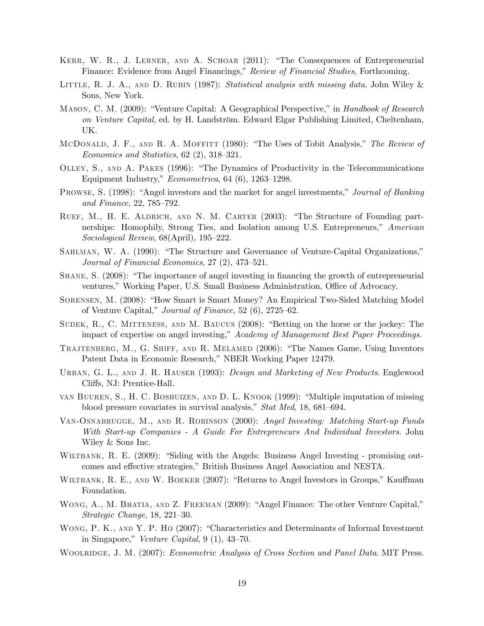- Kerr, W. R., J. Lerner, and A. Schoar (2011): "The Consequences of Entrepreneurial Finance: Evidence from Angel Financings," Review of Financial Studies, Forthcoming.
- LITTLE, R. J. A., AND D. RUBIN (1987): Statistical analysis with missing data. John Wiley & Sons, New York.
- MASON, C. M. (2009): "Venture Capital: A Geographical Perspective," in Handbook of Research on Venture Capital, ed. by H. Landström. Edward Elgar Publishing Limited, Cheltenham, UK.
- MCDONALD, J. F., AND R. A. MOFFITT (1980): "The Uses of Tobit Analysis," The Review of Economics and Statistics, 62 (2), 318—321.
- Olley, S., and A. Pakes (1996): "The Dynamics of Productivity in the Telecommunications Equipment Industry," Econometrica, 64 (6), 1263—1298.
- Prowse, S. (1998): "Angel investors and the market for angel investments," Journal of Banking and Finance, 22, 785—792.
- Ruef, M., H. E. Aldrich, and N. M. Carter (2003): "The Structure of Founding partnerships: Homophily, Strong Ties, and Isolation among U.S. Entrepreneurs," American Sociological Review, 68(April), 195—222.
- Sahlman, W. A. (1990): "The Structure and Governance of Venture-Capital Organizations," Journal of Financial Economics, 27 (2), 473—521.
- Shane, S. (2008): "The importance of angel investing in financing the growth of entrepreneurial ventures," Working Paper, U.S. Small Business Administration, Office of Advocacy.
- Sorensen, M. (2008): "How Smart is Smart Money? An Empirical Two-Sided Matching Model of Venture Capital," Journal of Finance, 52 (6), 2725—62.
- Sudek, R., C. Mitteness, and M. Baucus (2008): "Betting on the horse or the jockey: The impact of expertise on angel investing," Academy of Management Best Paper Proceedings.
- Trajtenberg, M., G. Shiff, and R. Melamed (2006): "The Names Game, Using Inventors Patent Data in Economic Research," NBER Working Paper 12479.
- URBAN, G. L., AND J. R. HAUSER (1993): *Design and Marketing of New Products*. Englewood Cliffs, NJ: Prentice-Hall.
- van Buuren, S., H. C. Boshuizen, and D. L. Knook (1999): "Multiple imputation of missing blood pressure covariates in survival analysis," Stat Med, 18, 681—694.
- VAN-OSNABRUGGE, M., AND R. ROBINSON (2000): Angel Investing: Matching Start-up Funds With Start-up Companies - A Guide For Entrepreneurs And Individual Investors. John Wiley & Sons Inc.
- WILTBANK, R. E. (2009): "Siding with the Angels: Business Angel Investing promising outcomes and effective strategies," British Business Angel Association and NESTA.
- WILTBANK, R. E., AND W. BOEKER (2007): "Returns to Angel Investors in Groups," Kauffman Foundation.
- WONG, A., M. BHATIA, AND Z. FREEMAN (2009): "Angel Finance: The other Venture Capital," Strategic Change, 18, 221—30.
- WONG, P. K., AND Y. P. HO (2007): "Characteristics and Determinants of Informal Investment in Singapore," Venture Capital, 9 (1), 43—70.
- WOOLRIDGE, J. M. (2007): *Econometric Analysis of Cross Section and Panel Data*. MIT Press.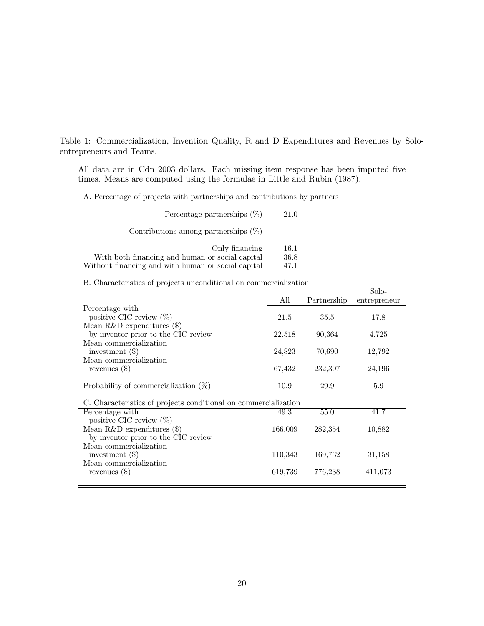Table 1: Commercialization, Invention Quality, R and D Expenditures and Revenues by Soloentrepreneurs and Teams.

All data are in Cdn 2003 dollars. Each missing item response has been imputed five times. Means are computed using the formulae in Little and Rubin (1987).

|  |  | A. Percentage of projects with partnerships and contributions by partners |
|--|--|---------------------------------------------------------------------------|
|--|--|---------------------------------------------------------------------------|

| Percentage partnerships $(\%)$                                                                                          | 21.0                 |
|-------------------------------------------------------------------------------------------------------------------------|----------------------|
| Contributions among partnerships $(\%)$                                                                                 |                      |
| Only financing<br>With both financing and human or social capital<br>Without financing and with human or social capital | 16.1<br>36.8<br>47.1 |

B. Characteristics of projects unconditional on commercialization

|                                                                 | All     | Partnership | Solo-<br>entrepreneur |
|-----------------------------------------------------------------|---------|-------------|-----------------------|
| Percentage with                                                 |         |             |                       |
| positive CIC review $(\%)$                                      | 21.5    | 35.5        | 17.8                  |
| Mean R&D expenditures $(\$)$                                    |         |             |                       |
| by inventor prior to the CIC review                             | 22,518  | 90,364      | 4,725                 |
| Mean commercialization                                          |         |             |                       |
| investment $(\$)$                                               | 24,823  | 70,690      | 12,792                |
| Mean commercialization                                          |         |             |                       |
| revenues $(\$)$                                                 | 67,432  | 232,397     | 24,196                |
| Probability of commercialization $(\%)$                         | 10.9    | 29.9        | 5.9                   |
| C. Characteristics of projects conditional on commercialization |         |             |                       |
| Percentage with                                                 | 49.3    | 55.0        | 41.7                  |
| positive CIC review $(\%)$                                      |         |             |                       |
| Mean R&D expenditures $(\$)$                                    | 166,009 | 282,354     | 10,882                |
| by inventor prior to the CIC review                             |         |             |                       |
| Mean commercialization                                          |         |             |                       |
| investment $(\$)$                                               | 110,343 | 169,732     | 31,158                |
| Mean commercialization                                          |         |             |                       |
| revenues $(\$)$                                                 | 619,739 | 776,238     | 411,073               |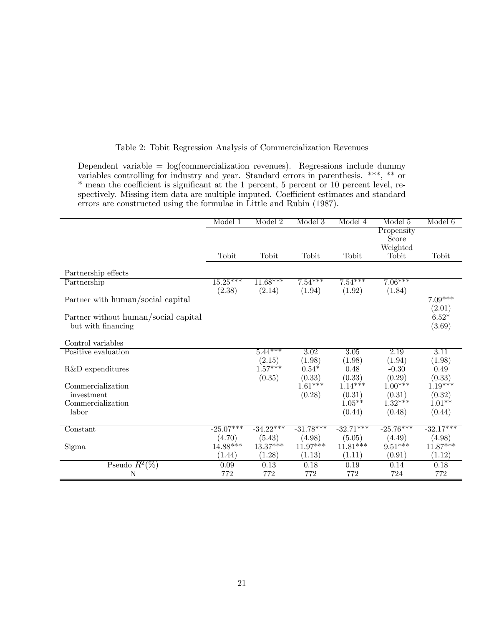|  |  |  |  |  |  | Table 2: Tobit Regression Analysis of Commercialization Revenues |  |
|--|--|--|--|--|--|------------------------------------------------------------------|--|
|--|--|--|--|--|--|------------------------------------------------------------------|--|

Dependent variable = log(commercialization revenues). Regressions include dummy variables controlling for industry and year. Standard errors in parenthesis. \*\*\*, \*\* or \* mean the coefficient is significant at the 1 percent, 5 percent or 10 percent level, respectively. Missing item data are multiple imputed. Coefficient estimates and standard errors are constructed using the formulae in Little and Rubin (1987).

|                                      | Model 1     | Model 2     | Model 3     | Model 4     | Model 5     | Model 6           |
|--------------------------------------|-------------|-------------|-------------|-------------|-------------|-------------------|
|                                      |             |             |             |             | Propensity  |                   |
|                                      |             |             |             |             | Score       |                   |
|                                      |             |             |             |             | Weighted    |                   |
|                                      | Tobit       | Tobit       | Tobit       | Tobit       | Tobit       | Tobit             |
| Partnership effects                  |             |             |             |             |             |                   |
| Partnership                          | $15.25***$  | $11.68***$  | $7.54***$   | $7.54***$   | $7.06***$   |                   |
|                                      | (2.38)      | (2.14)      | (1.94)      | (1.92)      | (1.84)      |                   |
| Partner with human/social capital    |             |             |             |             |             | $7.09***$         |
|                                      |             |             |             |             |             | (2.01)            |
| Partner without human/social capital |             |             |             |             |             | $6.52*$           |
| but with financing                   |             |             |             |             |             | (3.69)            |
| Control variables                    |             |             |             |             |             |                   |
| Positive evaluation                  |             | $5.44***$   | 3.02        | 3.05        | 2.19        | $\overline{3.11}$ |
|                                      |             | (2.15)      | (1.98)      | (1.98)      | (1.94)      | (1.98)            |
| R&D expenditures                     |             | $1.57***$   | $0.54*$     | 0.48        | $-0.30$     | 0.49              |
|                                      |             | (0.35)      | (0.33)      | (0.33)      | (0.29)      | (0.33)            |
| Commercialization                    |             |             | $1.61***$   | $1.14***$   | $1.00***$   | $1.19***$         |
| investment                           |             |             | (0.28)      | (0.31)      | (0.31)      | (0.32)            |
| Commercialization                    |             |             |             | $1.05**$    | $1.32***$   | $1.01**$          |
| labor                                |             |             |             | (0.44)      | (0.48)      | (0.44)            |
| Constant                             | $-25.07***$ | $-34.22***$ | $-31.78***$ | $-32.71***$ | $-25.76***$ | $-32.17***$       |
|                                      | (4.70)      | (5.43)      | (4.98)      | (5.05)      | (4.49)      | (4.98)            |
| Sigma                                | $14.88***$  | $13.37***$  | $11.97***$  | $11.81***$  | $9.51***$   | $11.87***$        |
|                                      | (1.44)      | (1.28)      | (1.13)      | (1.11)      | (0.91)      | (1.12)            |
| Pseudo $R^2(\%)$                     | 0.09        | 0.13        | 0.18        | 0.19        | 0.14        | 0.18              |
| N                                    | 772         | 772         | 772         | 772         | 724         | 772               |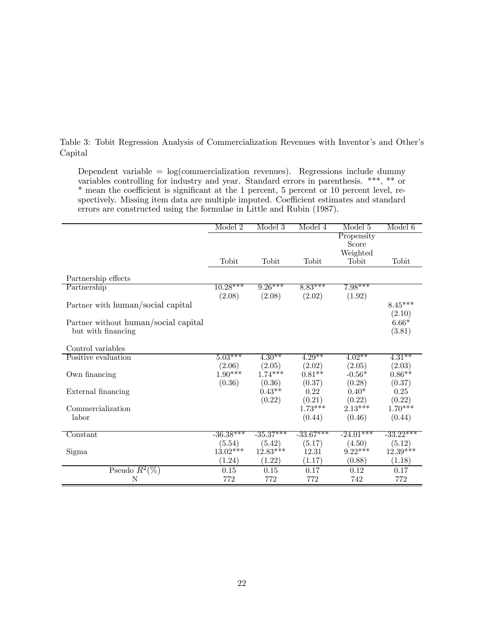Table 3: Tobit Regression Analysis of Commercialization Revenues with Inventor's and Other's Capital

Dependent variable =  $log(commercialization$  revenues). Regressions include dummy variables controlling for industry and year. Standard errors in parenthesis. \*\*\*, \*\* or \* mean the coefficient is significant at the 1 percent, 5 percent or 10 percent level, respectively. Missing item data are multiple imputed. Coefficient estimates and standard errors are constructed using the formulae in Little and Rubin (1987).

|                                      | Model 2             | Model 3             | Model 4             | Model 5             | Model 6             |
|--------------------------------------|---------------------|---------------------|---------------------|---------------------|---------------------|
|                                      |                     |                     |                     | Propensity          |                     |
|                                      |                     |                     |                     | Score               |                     |
|                                      |                     |                     |                     | Weighted            |                     |
|                                      | Tobit               | Tobit               | Tobit               | Tobit               | Tobit               |
|                                      |                     |                     |                     |                     |                     |
| Partnership effects                  |                     |                     |                     |                     |                     |
| Partnership                          | $10.28***$          | $9.26***$           | $8.83***$           | $7.98***$           |                     |
|                                      | (2.08)              | (2.08)              | (2.02)              | (1.92)              |                     |
| Partner with human/social capital    |                     |                     |                     |                     | $8.45***$           |
|                                      |                     |                     |                     |                     | (2.10)              |
| Partner without human/social capital |                     |                     |                     |                     | $6.66*$             |
| but with financing                   |                     |                     |                     |                     | (3.81)              |
| Control variables                    |                     |                     |                     |                     |                     |
| Positive evaluation                  | $5.03***$           | $4.30**$            | $4.29**$            | $4.02**$            | $4.31***$           |
|                                      |                     |                     |                     |                     |                     |
|                                      | (2.06)<br>$1.90***$ | (2.05)<br>$1.74***$ | (2.02)<br>$0.81**$  | (2.05)<br>$-0.56*$  | (2.03)<br>$0.86**$  |
| Own financing                        | (0.36)              |                     |                     |                     |                     |
|                                      |                     | (0.36)<br>$0.43**$  | (0.37)<br>0.22      | (0.28)<br>$0.40*$   | (0.37)              |
| External financing                   |                     |                     |                     |                     | 0.25                |
| Commercialization                    |                     | (0.22)              | (0.21)<br>$1.73***$ | (0.22)<br>$2.13***$ | (0.22)<br>$1.70***$ |
| labor                                |                     |                     | (0.44)              | (0.46)              | (0.44)              |
|                                      |                     |                     |                     |                     |                     |
| $Constant$                           | $-36.38***$         | $-35.37***$         | $-33.67***$         | $-24.01***$         | $-33.22***$         |
|                                      | (5.54)              | (5.42)              | (5.17)              | (4.50)              | (5.12)              |
| Sigma                                | $13.02***$          | 12.83***            | 12.31               | $9.22***$           | $12.39***$          |
|                                      | (1.24)              | (1.22)              | (1.17)              | (0.88)              | (1.18)              |
| Pseudo $R^2(\%)$                     | 0.15                | 0.15                | 0.17                | 0.12                | 0.17                |
| Ν                                    | 772                 | 772                 | 772                 | 742                 | 772                 |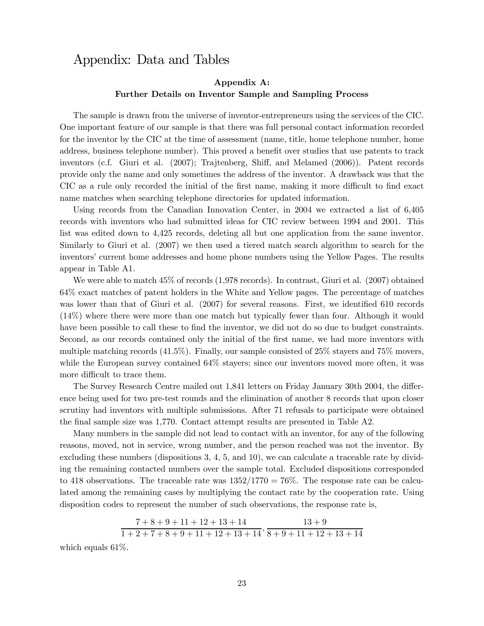# Appendix: Data and Tables

### Appendix A: Further Details on Inventor Sample and Sampling Process

The sample is drawn from the universe of inventor-entrepreneurs using the services of the CIC. One important feature of our sample is that there was full personal contact information recorded for the inventor by the CIC at the time of assessment (name, title, home telephone number, home address, business telephone number). This proved a benefit over studies that use patents to track inventors (c.f. Giuri et al. (2007); Trajtenberg, Shiff, and Melamed (2006)). Patent records provide only the name and only sometimes the address of the inventor. A drawback was that the CIC as a rule only recorded the initial of the first name, making it more difficult to find exact name matches when searching telephone directories for updated information.

Using records from the Canadian Innovation Center, in 2004 we extracted a list of 6,405 records with inventors who had submitted ideas for CIC review between 1994 and 2001. This list was edited down to 4,425 records, deleting all but one application from the same inventor. Similarly to Giuri et al. (2007) we then used a tiered match search algorithm to search for the inventors' current home addresses and home phone numbers using the Yellow Pages. The results appear in Table A1.

We were able to match 45% of records (1,978 records). In contrast, Giuri et al. (2007) obtained 64% exact matches of patent holders in the White and Yellow pages. The percentage of matches was lower than that of Giuri et al.  $(2007)$  for several reasons. First, we identified 610 records (14%) where there were more than one match but typically fewer than four. Although it would have been possible to call these to find the inventor, we did not do so due to budget constraints. Second, as our records contained only the initial of the first name, we had more inventors with multiple matching records  $(41.5\%)$ . Finally, our sample consisted of  $25\%$  stayers and 75% movers, while the European survey contained  $64\%$  stayers; since our inventors moved more often, it was more difficult to trace them.

The Survey Research Centre mailed out 1,841 letters on Friday January 30th 2004, the difference being used for two pre-test rounds and the elimination of another 8 records that upon closer scrutiny had inventors with multiple submissions. After 71 refusals to participate were obtained the final sample size was 1,770. Contact attempt results are presented in Table A2.

Many numbers in the sample did not lead to contact with an inventor, for any of the following reasons, moved, not in service, wrong number, and the person reached was not the inventor. By excluding these numbers (dispositions 3, 4, 5, and 10), we can calculate a traceable rate by dividing the remaining contacted numbers over the sample total. Excluded dispositions corresponded to 418 observations. The traceable rate was  $1352/1770 = 76\%$ . The response rate can be calculated among the remaining cases by multiplying the contact rate by the cooperation rate. Using disposition codes to represent the number of such observations, the response rate is,

$$
\frac{7+8+9+11+12+13+14}{1+2+7+8+9+11+12+13+14}
$$
, 
$$
\frac{13+9}{8+9+11+12+13+14}
$$

which equals 61%.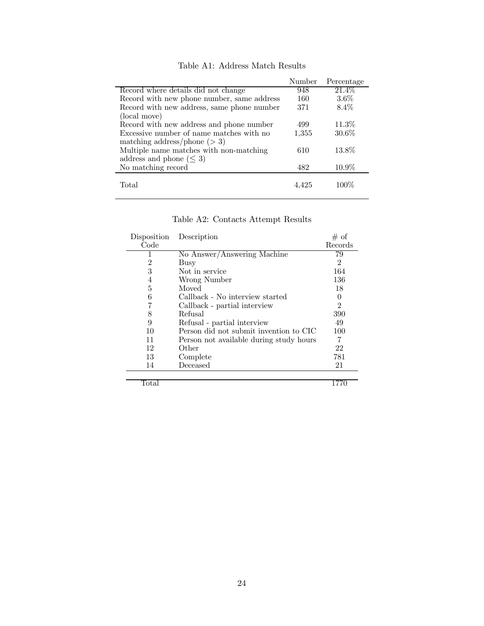|                                            | Number | Percentage |
|--------------------------------------------|--------|------------|
| Record where details did not change        | 948    | $21.4\%$   |
| Record with new phone number, same address | 160    | $3.6\%$    |
| Record with new address, same phone number | 371    | 8.4%       |
| (local move)                               |        |            |
| Record with new address and phone number   | 499    | $11.3\%$   |
| Excessive number of name matches with no   | 1,355  | 30.6%      |
| matching address/phone $(> 3)$             |        |            |
| Multiple name matches with non-matching    | 610    | 13.8%      |
| address and phone $(\leq 3)$               |        |            |
| No matching record                         | 482    | $10.9\%$   |
| Total                                      |        | 100\%      |

Table A1: Address Match Results

| Table A2: Contacts Attempt Results |  |  |
|------------------------------------|--|--|

| Disposition | Description                             | # of           |
|-------------|-----------------------------------------|----------------|
| Code        |                                         | Records        |
|             | No Answer/Answering Machine             | 79             |
| 2           | Busy                                    | $\overline{2}$ |
| 3           | Not in service                          | 164            |
| 4           | Wrong Number                            | 136            |
| 5           | Moved                                   | 18             |
| 6           | Callback - No interview started         | 0              |
|             | Callback - partial interview            | $\overline{2}$ |
| 8           | Refusal                                 | 390            |
| 9           | Refusal - partial interview             | 49             |
| 10          | Person did not submit invention to CIC  | 100            |
| 11          | Person not available during study hours |                |
| 12          | Other                                   | 22             |
| 13          | Complete                                | 781            |
| 14          | Deceased                                | 21             |
|             |                                         |                |

Total 1770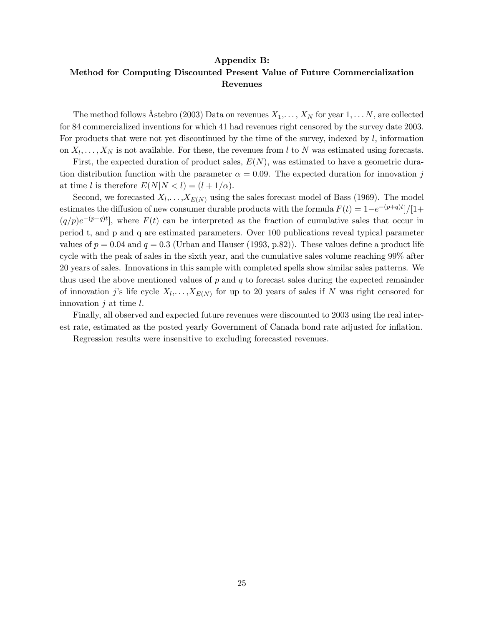#### Appendix B:

### Method for Computing Discounted Present Value of Future Commercialization Revenues

The method follows Åstebro (2003) Data on revenues  $X_1, \ldots, X_N$  for year  $1, \ldots N$ , are collected for 84 commercialized inventions for which 41 had revenues right censored by the survey date 2003. For products that were not yet discontinued by the time of the survey, indexed by  $l$ , information on  $X_l, \ldots, X_N$  is not available. For these, the revenues from l to N was estimated using forecasts.

First, the expected duration of product sales,  $E(N)$ , was estimated to have a geometric duration distribution function with the parameter  $\alpha = 0.09$ . The expected duration for innovation j at time l is therefore  $E(N|N < l) = (l + 1/\alpha)$ .

Second, we forecasted  $X_l, \ldots, X_{E(N)}$  using the sales forecast model of Bass (1969). The model estimates the diffusion of new consumer durable products with the formula  $F(t) = 1-e^{-(p+q)t}/[1+$  $(q/p)e^{-(p+q)t}$ , where  $F(t)$  can be interpreted as the fraction of cumulative sales that occur in period t, and p and q are estimated parameters. Over 100 publications reveal typical parameter values of  $p = 0.04$  and  $q = 0.3$  (Urban and Hauser (1993, p.82)). These values define a product life cycle with the peak of sales in the sixth year, and the cumulative sales volume reaching 99% after 20 years of sales. Innovations in this sample with completed spells show similar sales patterns. We thus used the above mentioned values of  $p$  and  $q$  to forecast sales during the expected remainder of innovation j's life cycle  $X_l, \ldots, X_{E(N)}$  for up to 20 years of sales if N was right censored for innovation  $j$  at time  $l$ .

Finally, all observed and expected future revenues were discounted to 2003 using the real interest rate, estimated as the posted yearly Government of Canada bond rate adjusted for inflation.

Regression results were insensitive to excluding forecasted revenues.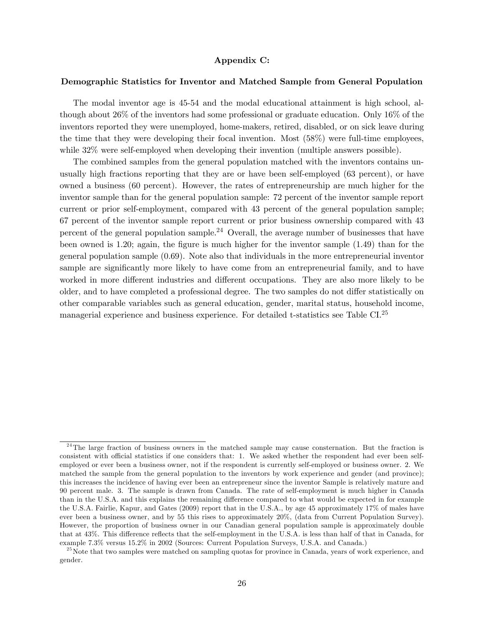### Appendix C:

### Demographic Statistics for Inventor and Matched Sample from General Population

The modal inventor age is 45-54 and the modal educational attainment is high school, although about 26% of the inventors had some professional or graduate education. Only 16% of the inventors reported they were unemployed, home-makers, retired, disabled, or on sick leave during the time that they were developing their focal invention. Most (58%) were full-time employees, while 32% were self-employed when developing their invention (multiple answers possible).

The combined samples from the general population matched with the inventors contains unusually high fractions reporting that they are or have been self-employed (63 percent), or have owned a business (60 percent). However, the rates of entrepreneurship are much higher for the inventor sample than for the general population sample: 72 percent of the inventor sample report current or prior self-employment, compared with 43 percent of the general population sample; 67 percent of the inventor sample report current or prior business ownership compared with 43 percent of the general population sample.<sup>24</sup> Overall, the average number of businesses that have been owned is 1.20; again, the figure is much higher for the inventor sample (1.49) than for the general population sample (0.69). Note also that individuals in the more entrepreneurial inventor sample are significantly more likely to have come from an entrepreneurial family, and to have worked in more different industries and different occupations. They are also more likely to be older, and to have completed a professional degree. The two samples do not differ statistically on other comparable variables such as general education, gender, marital status, household income, managerial experience and business experience. For detailed t-statistics see Table CI.<sup>25</sup>

 $2<sup>24</sup>$ The large fraction of business owners in the matched sample may cause consternation. But the fraction is consistent with official statistics if one considers that: 1. We asked whether the respondent had ever been selfemployed or ever been a business owner, not if the respondent is currently self-employed or business owner. 2. We matched the sample from the general population to the inventors by work experience and gender (and province); this increases the incidence of having ever been an entrepreneur since the inventor Sample is relatively mature and 90 percent male. 3. The sample is drawn from Canada. The rate of self-employment is much higher in Canada than in the U.S.A. and this explains the remaining difference compared to what would be expected in for example the U.S.A. Fairlie, Kapur, and Gates (2009) report that in the U.S.A., by age 45 approximately 17% of males have ever been a business owner, and by 55 this rises to approximately 20%, (data from Current Population Survey). However, the proportion of business owner in our Canadian general population sample is approximately double that at 43%. This difference reflects that the self-employment in the U.S.A. is less than half of that in Canada, for example 7.3% versus 15.2% in 2002 (Sources: Current Population Surveys, U.S.A. and Canada.)

<sup>&</sup>lt;sup>25</sup> Note that two samples were matched on sampling quotas for province in Canada, years of work experience, and gender.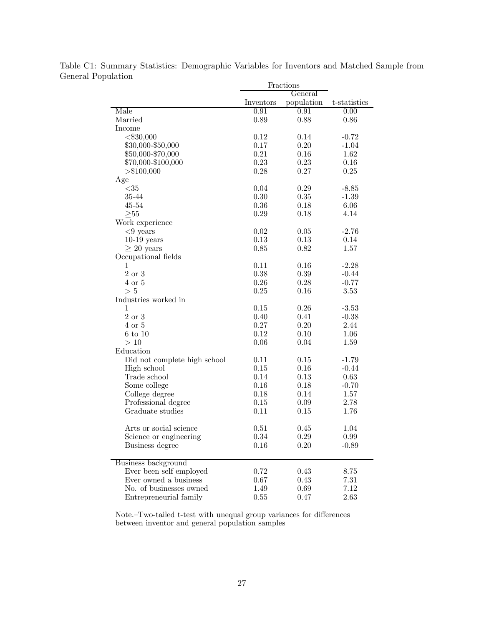|                              | Fractions |            |              |
|------------------------------|-----------|------------|--------------|
|                              |           | General    |              |
|                              | Inventors | population | t-statistics |
| Male                         | 0.91      | 0.91       | 0.00         |
| Married                      | 0.89      | 0.88       | 0.86         |
| Income                       |           |            |              |
| $<$ \$30,000                 | 0.12      | 0.14       | $-0.72$      |
| \$30,000-\$50,000            | 0.17      | 0.20       | $-1.04$      |
| \$50,000-\$70,000            | 0.21      | 0.16       | 1.62         |
| \$70,000-\$100,000           | 0.23      | 0.23       | 0.16         |
| > \$100,000                  | 0.28      | 0.27       | 0.25         |
| Age                          |           |            |              |
| $<$ 35                       | 0.04      | 0.29       | $-8.85$      |
| 35-44                        | 0.30      | 0.35       | $-1.39$      |
| 45-54                        | 0.36      | 0.18       | 6.06         |
| $>_{55}$                     | 0.29      | 0.18       | 4.14         |
| Work experience              |           |            |              |
| $<$ 9 years                  | 0.02      | 0.05       | $-2.76$      |
| $10-19$ years                | 0.13      | 0.13       | 0.14         |
| $\geq 20$ years              | 0.85      | 0.82       | 1.57         |
| Occupational fields          |           |            |              |
| 1                            | 0.11      | 0.16       | $-2.28$      |
| $2 \text{ or } 3$            | 0.38      | 0.39       | $-0.44$      |
| $4$ or $5$                   | 0.26      | 0.28       | $-0.77$      |
| > 5                          | 0.25      | 0.16       | 3.53         |
| Industries worked in         |           |            |              |
| 1                            | 0.15      | 0.26       | $-3.53$      |
| 2 or 3                       | 0.40      | 0.41       | $-0.38$      |
| $4 \text{ or } 5$            | 0.27      | 0.20       | 2.44         |
| $6 \text{ to } 10$           | 0.12      | 0.10       | 1.06         |
| >10                          | 0.06      | 0.04       | 1.59         |
| Education                    |           |            |              |
| Did not complete high school | 0.11      | 0.15       | $-1.79$      |
| High school                  | 0.15      | 0.16       | $-0.44$      |
| Trade school                 | 0.14      | 0.13       | 0.63         |
| Some college                 | 0.16      | 0.18       | $-0.70$      |
| College degree               | 0.18      | 0.14       | 1.57         |
| Professional degree          | 0.15      | 0.09       | 2.78         |
| Graduate studies             | 0.11      | 0.15       | 1.76         |
| Arts or social science       | 0.51      | 0.45       | 1.04         |
| Science or engineering       | 0.34      | 0.29       | 0.99         |
| Business degree              | 0.16      | 0.20       | $-0.89$      |
| Business background          |           |            |              |
| Ever been self employed      | 0.72      | 0.43       | 8.75         |
| Ever owned a business        | 0.67      | 0.43       | 7.31         |
| No. of businesses owned      | 1.49      | 0.69       | 7.12         |
| Entrepreneurial family       | 0.55      | 0.47       | 2.63         |

Table C1: Summary Statistics: Demographic Variables for Inventors and Matched Sample from General Population

Note.—Two-tailed t-test with unequal group variances for differences between inventor and general population samples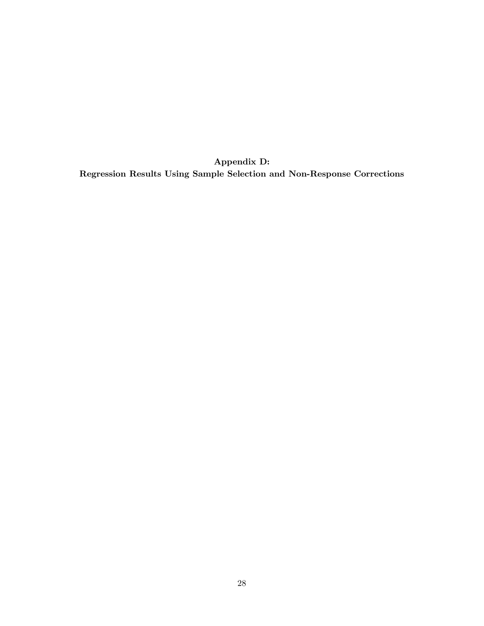Appendix D: Regression Results Using Sample Selection and Non-Response Corrections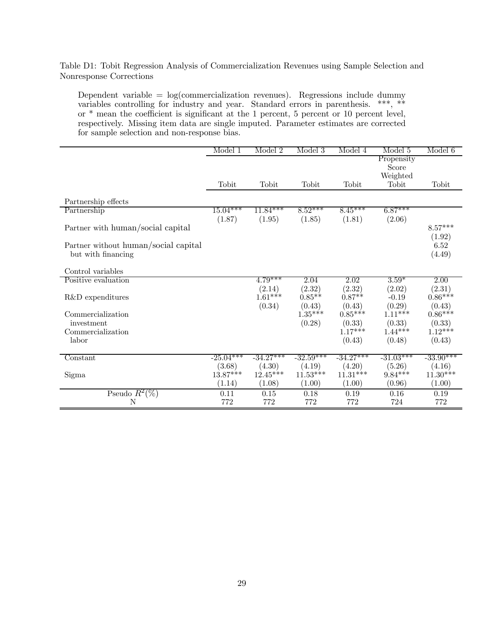Table D1: Tobit Regression Analysis of Commercialization Revenues using Sample Selection and Nonresponse Corrections

Dependent variable =  $log(commercialization$  revenues). Regressions include dummy variables controlling for industry and year. Standard errors in parenthesis. \*\*\*, \*\* or \* mean the coefficient is significant at the 1 percent, 5 percent or 10 percent level, respectively. Missing item data are single imputed. Parameter estimates are corrected for sample selection and non-response bias.

|                                      | Model 1     | Model 2     | Model 3     | Model 4     | Model 5             | Model 6             |
|--------------------------------------|-------------|-------------|-------------|-------------|---------------------|---------------------|
|                                      |             |             |             |             | Propensity          |                     |
|                                      |             |             |             |             | Score               |                     |
|                                      |             |             |             |             | Weighted            |                     |
|                                      | Tobit       | Tobit       | Tobit       | Tobit       | Tobit               | Tobit               |
|                                      |             |             |             |             |                     |                     |
| Partnership effects                  |             |             |             |             |                     |                     |
| Partnership                          | $15.04***$  | $11.84***$  | $8.52***$   | $8.45***$   | $6.87***$           |                     |
|                                      | (1.87)      | (1.95)      | (1.85)      | (1.81)      | (2.06)              |                     |
| Partner with human/social capital    |             |             |             |             |                     | $8.57***$           |
|                                      |             |             |             |             |                     | (1.92)              |
| Partner without human/social capital |             |             |             |             |                     | 6.52                |
| but with financing                   |             |             |             |             |                     | (4.49)              |
|                                      |             |             |             |             |                     |                     |
| Control variables                    |             |             |             |             |                     |                     |
| Positive evaluation                  |             | $4.79***$   | 2.04        | 2.02        | $3.59*$             | 2.00                |
|                                      |             | (2.14)      | (2.32)      | (2.32)      | (2.02)              | (2.31)              |
| R&D expenditures                     |             | $1.61***$   | $0.85**$    | $0.87**$    | $-0.19$             | $0.86***$           |
|                                      |             | (0.34)      | (0.43)      | (0.43)      | (0.29)              | (0.43)              |
| Commercialization                    |             |             | $1.35***$   | $0.85***$   | $1.11***$           | $0.86***$           |
| investment                           |             |             | (0.28)      | (0.33)      | $(0.33)$<br>1.44*** | $(0.33)$<br>1.12*** |
| Commercialization                    |             |             |             | $1.17***$   |                     |                     |
| labor                                |             |             |             | (0.43)      | (0.48)              | (0.43)              |
|                                      |             |             |             |             |                     |                     |
| Constant                             | $-25.04***$ | $-34.27***$ | $-32.59***$ | $-34.27***$ | $-31.03***$         | $-33.90***$         |
|                                      | (3.68)      | (4.30)      | (4.19)      | (4.20)      | (5.26)              | (4.16)              |
| Sigma                                | $13.87***$  | $12.45***$  | $11.53***$  | $11.31***$  | $9.84***$           | $11.30***$          |
|                                      | (1.14)      | (1.08)      | (1.00)      | (1.00)      | (0.96)              | (1.00)              |
| Pseudo $R^2(\%)$                     | 0.11        | 0.15        | 0.18        | 0.19        | 0.16                | 0.19                |
| N                                    | 772         | 772         | 772         | 772         | 724                 | 772                 |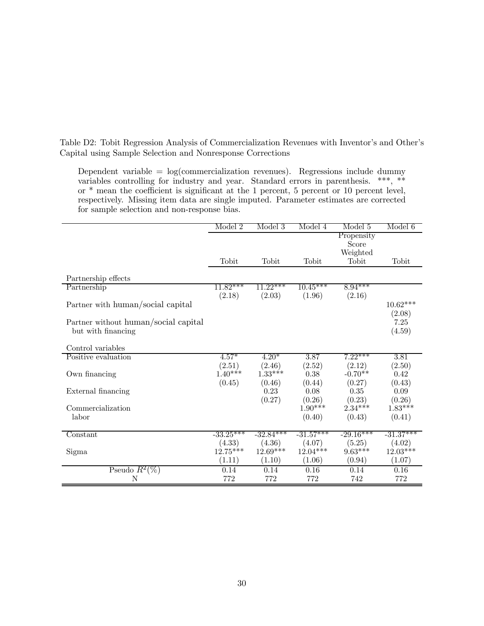Table D2: Tobit Regression Analysis of Commercialization Revenues with Inventor's and Other's Capital using Sample Selection and Nonresponse Corrections

Dependent variable =  $log(commercialization$  revenues). Regressions include dummy variables controlling for industry and year. Standard errors in parenthesis. \*\*\*, \*\* or \* mean the coefficient is significant at the 1 percent, 5 percent or 10 percent level, respectively. Missing item data are single imputed. Parameter estimates are corrected for sample selection and non-response bias.

|                                      | Model 2     | Model 3     | Model 4     | Model 5     | Model 6     |
|--------------------------------------|-------------|-------------|-------------|-------------|-------------|
|                                      |             |             |             | Propensity  |             |
|                                      |             |             |             | Score       |             |
|                                      |             |             |             | Weighted    |             |
|                                      | Tobit       | Tobit       | Tobit       | Tobit       | Tobit       |
| Partnership effects                  |             |             |             |             |             |
| Partnership                          | $11.82***$  | $11.22***$  | $10.45***$  | $8.94***$   |             |
|                                      | (2.18)      | (2.03)      | (1.96)      | (2.16)      |             |
| Partner with human/social capital    |             |             |             |             | $10.62***$  |
|                                      |             |             |             |             | (2.08)      |
| Partner without human/social capital |             |             |             |             | 7.25        |
| but with financing                   |             |             |             |             | (4.59)      |
| Control variables                    |             |             |             |             |             |
| Positive evaluation                  | $4.57*$     | $4.20*$     | 3.87        | $7.22***$   | 3.81        |
|                                      | (2.51)      | (2.46)      | (2.52)      | (2.12)      | (2.50)      |
| Own financing                        | $1.40***$   | $1.33***$   | 0.38        | $-0.70**$   | 0.42        |
|                                      | (0.45)      | (0.46)      | (0.44)      | (0.27)      | (0.43)      |
| External financing                   |             | 0.23        | 0.08        | 0.35        | 0.09        |
|                                      |             | (0.27)      | (0.26)      | (0.23)      | (0.26)      |
| Commercialization                    |             |             | $1.90***$   | $2.34***$   | $1.83***$   |
| labor                                |             |             | (0.40)      | (0.43)      | (0.41)      |
|                                      |             |             |             |             |             |
| Constant                             | $-33.25***$ | $-32.84***$ | $-31.57***$ | $-29.16***$ | $-31.37***$ |
|                                      | (4.33)      | (4.36)      | (4.07)      | (5.25)      | (4.02)      |
| Sigma                                | $12.75***$  | $12.69***$  | $12.04***$  | $9.63***$   | $12.03***$  |
|                                      | (1.11)      | (1.10)      | (1.06)      | (0.94)      | (1.07)      |
| Pseudo $R^2(\%)$                     | 0.14        | 0.14        | 0.16        | 0.14        | 0.16        |
| N                                    | 772         | 772         | 772         | 742         | 772         |